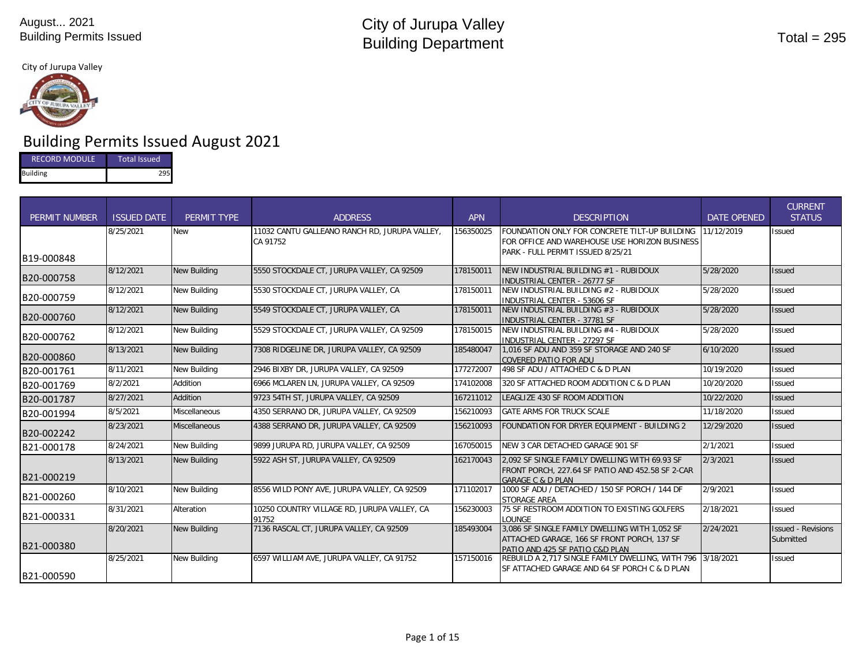#### City of Jurupa Valley



# Building Permits Issued August 2021

| <b>Total Issued</b><br><b>RECORD MODULE</b> |  |  |  |
|---------------------------------------------|--|--|--|
| <b>Building</b>                             |  |  |  |

| <b>PERMIT NUMBER</b> | <b>ISSUED DATE</b> | PERMIT TYPE          | <b>ADDRESS</b>                                            | <b>APN</b> | <b>DESCRIPTION</b>                                                                                                                  | <b>DATE OPENED</b> | <b>CURRENT</b><br><b>STATUS</b>        |
|----------------------|--------------------|----------------------|-----------------------------------------------------------|------------|-------------------------------------------------------------------------------------------------------------------------------------|--------------------|----------------------------------------|
| B19-000848           | 8/25/2021          | New                  | 11032 CANTU GALLEANO RANCH RD, JURUPA VALLEY,<br>CA 91752 | 156350025  | FOUNDATION ONLY FOR CONCRETE TILT-UP BUILDING<br>FOR OFFICE AND WAREHOUSE USE HORIZON BUSINESS<br>PARK - FULL PERMIT ISSUED 8/25/21 | 11/12/2019         | <b>Issued</b>                          |
| B20-000758           | 8/12/2021          | <b>New Building</b>  | 5550 STOCKDALE CT, JURUPA VALLEY, CA 92509                | 178150011  | NEW INDUSTRIAL BUILDING #1 - RUBIDOUX<br><b>INDUSTRIAL CENTER - 26777 SF</b>                                                        | 5/28/2020          | <b>Issued</b>                          |
| B20-000759           | 8/12/2021          | New Building         | 5530 STOCKDALE CT, JURUPA VALLEY, CA                      | 178150011  | NEW INDUSTRIAL BUILDING #2 - RUBIDOUX<br>INDUSTRIAL CENTER - 53606 SF                                                               | 5/28/2020          | <b>Issued</b>                          |
| B20-000760           | 8/12/2021          | <b>New Building</b>  | 5549 STOCKDALE CT, JURUPA VALLEY, CA                      | 178150011  | NEW INDUSTRIAL BUILDING #3 - RUBIDOUX<br><b>INDUSTRIAL CENTER - 37781 SF</b>                                                        | 5/28/2020          | <b>Issued</b>                          |
| B20-000762           | 8/12/2021          | New Building         | 5529 STOCKDALE CT. JURUPA VALLEY. CA 92509                | 178150015  | NEW INDUSTRIAL BUILDING #4 - RUBIDOUX<br><b>INDUSTRIAL CENTER - 27297 SF</b>                                                        | 5/28/2020          | <b>Issued</b>                          |
| B20-000860           | 8/13/2021          | <b>New Building</b>  | 7308 RIDGELINE DR. JURUPA VALLEY. CA 92509                | 185480047  | 1.016 SF ADU AND 359 SF STORAGE AND 240 SF<br><b>COVERED PATIO FOR ADU</b>                                                          | 6/10/2020          | <b>Issued</b>                          |
| B20-001761           | 8/11/2021          | <b>New Building</b>  | 2946 BIXBY DR. JURUPA VALLEY, CA 92509                    | 177272007  | 498 SF ADU / ATTACHED C & D PLAN                                                                                                    | 10/19/2020         | <b>Issued</b>                          |
| B20-001769           | 8/2/2021           | Addition             | 6966 MCLAREN LN, JURUPA VALLEY, CA 92509                  | 174102008  | 320 SF ATTACHED ROOM ADDITION C & D PLAN                                                                                            | 10/20/2020         | <b>Issued</b>                          |
| B20-001787           | 8/27/2021          | Addition             | 9723 54TH ST, JURUPA VALLEY, CA 92509                     | 167211012  | LEAGLIZE 430 SF ROOM ADDITION                                                                                                       | 10/22/2020         | <b>Issued</b>                          |
| B20-001994           | 8/5/2021           | <b>Miscellaneous</b> | 4350 SERRANO DR, JURUPA VALLEY, CA 92509                  | 156210093  | <b>GATE ARMS FOR TRUCK SCALE</b>                                                                                                    | 11/18/2020         | <b>Issued</b>                          |
| B20-002242           | 8/23/2021          | <b>Miscellaneous</b> | 4388 SERRANO DR, JURUPA VALLEY, CA 92509                  | 156210093  | FOUNDATION FOR DRYER EQUIPMENT - BUILDING 2                                                                                         | 12/29/2020         | <b>Issued</b>                          |
| B21-000178           | 8/24/2021          | New Building         | 9899 JURUPA RD. JURUPA VALLEY. CA 92509                   | 167050015  | NEW 3 CAR DETACHED GARAGE 901 SF                                                                                                    | 2/1/2021           | <b>Issued</b>                          |
| B21-000219           | 8/13/2021          | <b>New Building</b>  | 5922 ASH ST, JURUPA VALLEY, CA 92509                      | 162170043  | 2.092 SF SINGLE FAMILY DWELLING WITH 69.93 SF<br>FRONT PORCH, 227.64 SF PATIO AND 452.58 SF 2-CAR<br><b>GARAGE C &amp; D PLAN</b>   | 2/3/2021           | <b>Issued</b>                          |
| B21-000260           | 8/10/2021          | <b>New Building</b>  | 8556 WILD PONY AVE, JURUPA VALLEY, CA 92509               | 171102017  | 1000 SF ADU / DETACHED / 150 SF PORCH / 144 DF<br>STORAGE AREA                                                                      | 2/9/2021           | <b>Issued</b>                          |
| B21-000331           | 8/31/2021          | Alteration           | 10250 COUNTRY VILLAGE RD, JURUPA VALLEY, CA<br>91752      | 156230003  | 75 SF RESTROOM ADDITION TO EXISTING GOLFERS<br>LOUNGE                                                                               | 2/18/2021          | <b>Issued</b>                          |
| B21-000380           | 8/20/2021          | <b>New Building</b>  | 7136 RASCAL CT, JURUPA VALLEY, CA 92509                   | 185493004  | 3.086 SF SINGLE FAMILY DWELLING WITH 1.052 SF<br>ATTACHED GARAGE, 166 SF FRONT PORCH, 137 SF<br>PATIO AND 425 SF PATIO C&D PLAN     | 2/24/2021          | <b>Issued - Revisions</b><br>Submitted |
| B21-000590           | 8/25/2021          | <b>New Building</b>  | 6597 WILLIAM AVE, JURUPA VALLEY, CA 91752                 | 157150016  | REBUILD A 2.717 SINGLE FAMILY DWELLING. WITH 796 3/18/2021<br>SF ATTACHED GARAGE AND 64 SF PORCH C & D PLAN                         |                    | <b>Issued</b>                          |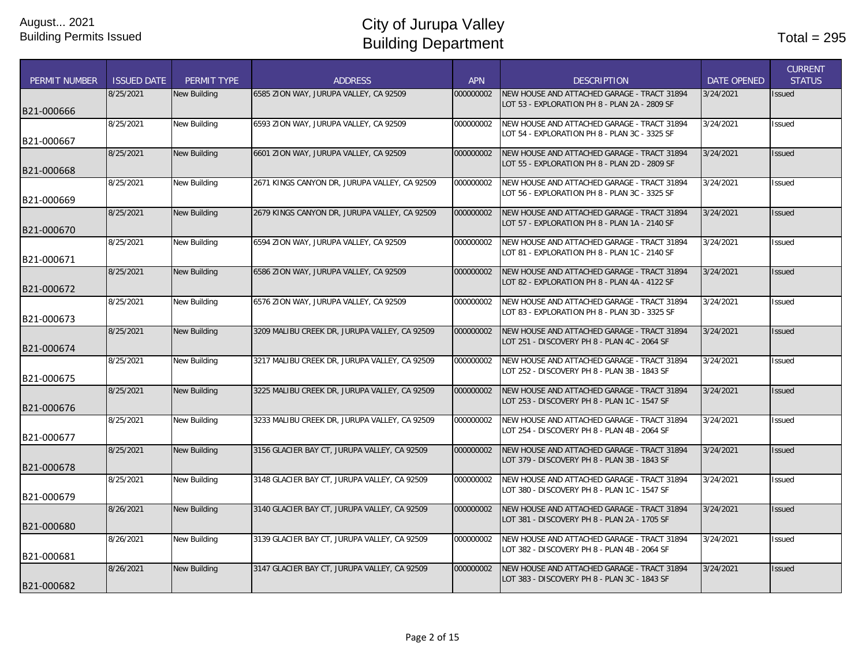| PERMIT NUMBER | <b>ISSUED DATE</b> | PERMIT TYPE         | <b>ADDRESS</b>                                | <b>APN</b> | <b>DESCRIPTION</b>                                                                           | <b>DATE OPENED</b> | <b>CURRENT</b><br><b>STATUS</b> |
|---------------|--------------------|---------------------|-----------------------------------------------|------------|----------------------------------------------------------------------------------------------|--------------------|---------------------------------|
|               | 8/25/2021          | <b>New Building</b> | 6585 ZION WAY, JURUPA VALLEY, CA 92509        | 000000002  | NEW HOUSE AND ATTACHED GARAGE - TRACT 31894<br>OT 53 - EXPLORATION PH 8 - PLAN 2A - 2809 SF  | 3/24/2021          | Issued                          |
| B21-000666    |                    |                     |                                               |            |                                                                                              |                    |                                 |
|               | 8/25/2021          | <b>New Building</b> | 6593 ZION WAY, JURUPA VALLEY, CA 92509        | 000000002  | NEW HOUSE AND ATTACHED GARAGE - TRACT 31894                                                  | 3/24/2021          | Issued                          |
| B21-000667    |                    |                     |                                               |            | LOT 54 - EXPLORATION PH 8 - PLAN 3C - 3325 SF                                                |                    |                                 |
|               | 8/25/2021          | <b>New Building</b> | 6601 ZION WAY, JURUPA VALLEY, CA 92509        | 000000002  | NEW HOUSE AND ATTACHED GARAGE - TRACT 31894<br>LOT 55 - EXPLORATION PH 8 - PLAN 2D - 2809 SF | 3/24/2021          | <b>Issued</b>                   |
| B21-000668    | 8/25/2021          | New Building        | 2671 KINGS CANYON DR, JURUPA VALLEY, CA 92509 | 000000002  | NEW HOUSE AND ATTACHED GARAGE - TRACT 31894                                                  | 3/24/2021          | <b>Issued</b>                   |
|               |                    |                     |                                               |            | LOT 56 - EXPLORATION PH 8 - PLAN 3C - 3325 SF                                                |                    |                                 |
| B21-000669    | 8/25/2021          | <b>New Building</b> | 2679 KINGS CANYON DR, JURUPA VALLEY, CA 92509 | 000000002  | NEW HOUSE AND ATTACHED GARAGE - TRACT 31894                                                  | 3/24/2021          | <b>Issued</b>                   |
| B21-000670    |                    |                     |                                               |            | LOT 57 - EXPLORATION PH 8 - PLAN 1A - 2140 SF                                                |                    |                                 |
|               | 8/25/2021          | <b>New Building</b> | 6594 ZION WAY, JURUPA VALLEY, CA 92509        | 000000002  | NEW HOUSE AND ATTACHED GARAGE - TRACT 31894                                                  | 3/24/2021          | Issued                          |
| B21-000671    |                    |                     |                                               |            | OT 81 - EXPLORATION PH 8 - PLAN 1C - 2140 SF                                                 |                    |                                 |
|               | 8/25/2021          | <b>New Building</b> | 6586 ZION WAY, JURUPA VALLEY, CA 92509        | 000000002  | NEW HOUSE AND ATTACHED GARAGE - TRACT 31894                                                  | 3/24/2021          | <b>Issued</b>                   |
| B21-000672    |                    |                     |                                               |            | LOT 82 - EXPLORATION PH 8 - PLAN 4A - 4122 SF                                                |                    |                                 |
|               | 8/25/2021          | <b>New Building</b> | 6576 ZION WAY, JURUPA VALLEY, CA 92509        | 000000002  | NEW HOUSE AND ATTACHED GARAGE - TRACT 31894                                                  | 3/24/2021          | <b>Issued</b>                   |
| B21-000673    |                    |                     |                                               |            | LOT 83 - EXPLORATION PH 8 - PLAN 3D - 3325 SF                                                |                    |                                 |
|               | 8/25/2021          | <b>New Building</b> | 3209 MALIBU CREEK DR, JURUPA VALLEY, CA 92509 | 000000002  | NEW HOUSE AND ATTACHED GARAGE - TRACT 31894                                                  | 3/24/2021          | <b>Issued</b>                   |
| B21-000674    |                    |                     |                                               |            | LOT 251 - DISCOVERY PH 8 - PLAN 4C - 2064 SF                                                 |                    |                                 |
|               | 8/25/2021          | <b>New Building</b> | 3217 MALIBU CREEK DR, JURUPA VALLEY, CA 92509 | 000000002  | NEW HOUSE AND ATTACHED GARAGE - TRACT 31894                                                  | 3/24/2021          | <b>Issued</b>                   |
| B21-000675    |                    |                     |                                               |            | LOT 252 - DISCOVERY PH 8 - PLAN 3B - 1843 SF                                                 |                    |                                 |
|               | 8/25/2021          | <b>New Building</b> | 3225 MALIBU CREEK DR. JURUPA VALLEY. CA 92509 | 000000002  | NEW HOUSE AND ATTACHED GARAGE - TRACT 31894                                                  | 3/24/2021          | <b>Issued</b>                   |
| B21-000676    |                    |                     |                                               |            | LOT 253 - DISCOVERY PH 8 - PLAN 1C - 1547 SF                                                 |                    |                                 |
|               | 8/25/2021          | <b>New Building</b> | 3233 MALIBU CREEK DR, JURUPA VALLEY, CA 92509 | 000000002  | NEW HOUSE AND ATTACHED GARAGE - TRACT 31894                                                  | 3/24/2021          | <b>Issued</b>                   |
| B21-000677    |                    |                     |                                               |            | LOT 254 - DISCOVERY PH 8 - PLAN 4B - 2064 SF                                                 |                    |                                 |
|               | 8/25/2021          | <b>New Building</b> | 3156 GLACIER BAY CT, JURUPA VALLEY, CA 92509  | 000000002  | NEW HOUSE AND ATTACHED GARAGE - TRACT 31894                                                  | 3/24/2021          | Issued                          |
| B21-000678    |                    |                     |                                               |            | LOT 379 - DISCOVERY PH 8 - PLAN 3B - 1843 SF                                                 |                    |                                 |
|               | 8/25/2021          | New Building        | 3148 GLACIER BAY CT, JURUPA VALLEY, CA 92509  | 000000002  | NEW HOUSE AND ATTACHED GARAGE - TRACT 31894                                                  | 3/24/2021          | <b>Issued</b>                   |
| B21-000679    |                    |                     |                                               |            | LOT 380 - DISCOVERY PH 8 - PLAN 1C - 1547 SF                                                 |                    |                                 |
|               | 8/26/2021          | <b>New Building</b> | 3140 GLACIER BAY CT, JURUPA VALLEY, CA 92509  | 000000002  | NEW HOUSE AND ATTACHED GARAGE - TRACT 31894                                                  | 3/24/2021          | <b>Issued</b>                   |
| B21-000680    |                    |                     |                                               |            | LOT 381 - DISCOVERY PH 8 - PLAN 2A - 1705 SF                                                 |                    |                                 |
|               | 8/26/2021          | <b>New Building</b> | 3139 GLACIER BAY CT, JURUPA VALLEY, CA 92509  | 000000002  | NEW HOUSE AND ATTACHED GARAGE - TRACT 31894                                                  | 3/24/2021          | Issued                          |
| B21-000681    |                    |                     |                                               |            | LOT 382 - DISCOVERY PH 8 - PLAN 4B - 2064 SF                                                 |                    |                                 |
|               | 8/26/2021          | <b>New Building</b> | 3147 GLACIER BAY CT, JURUPA VALLEY, CA 92509  | 000000002  | NEW HOUSE AND ATTACHED GARAGE - TRACT 31894                                                  | 3/24/2021          | Issued                          |
| B21-000682    |                    |                     |                                               |            | LOT 383 - DISCOVERY PH 8 - PLAN 3C - 1843 SF                                                 |                    |                                 |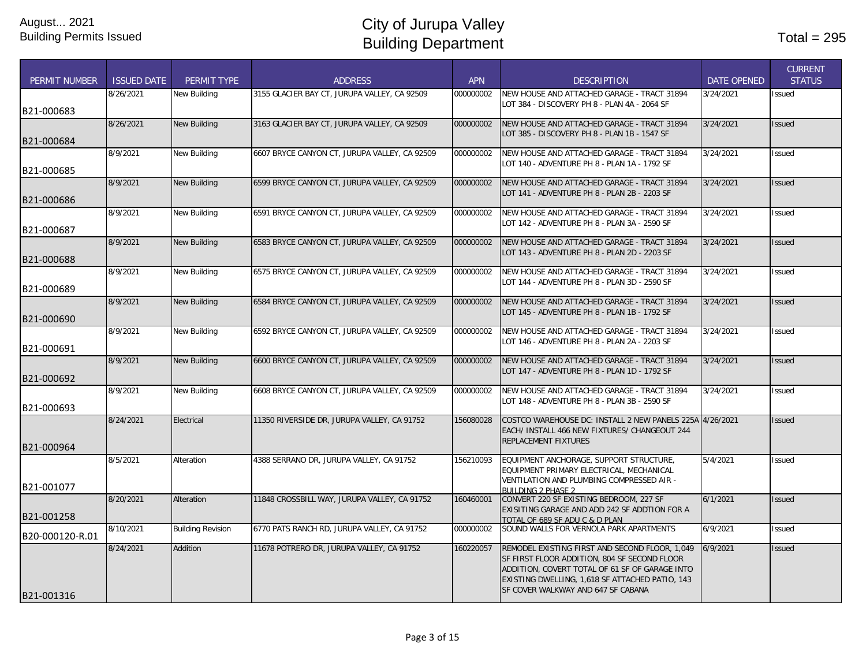| <b>PERMIT NUMBER</b> | <b>ISSUED DATE</b> | PERMIT TYPE              | <b>ADDRESS</b>                                | <b>APN</b> | <b>DESCRIPTION</b>                                                                             | <b>DATE OPENED</b> | <b>CURRENT</b><br><b>STATUS</b> |
|----------------------|--------------------|--------------------------|-----------------------------------------------|------------|------------------------------------------------------------------------------------------------|--------------------|---------------------------------|
|                      | 8/26/2021          | <b>New Building</b>      | 3155 GLACIER BAY CT, JURUPA VALLEY, CA 92509  | 000000002  | NEW HOUSE AND ATTACHED GARAGE - TRACT 31894                                                    | 3/24/2021          | <b>Issued</b>                   |
| B21-000683           |                    |                          |                                               |            | LOT 384 - DISCOVERY PH 8 - PLAN 4A - 2064 SF                                                   |                    |                                 |
|                      | 8/26/2021          | <b>New Building</b>      | 3163 GLACIER BAY CT, JURUPA VALLEY, CA 92509  | 000000002  | NEW HOUSE AND ATTACHED GARAGE - TRACT 31894                                                    | 3/24/2021          | <b>Issued</b>                   |
| B21-000684           |                    |                          |                                               |            | LOT 385 - DISCOVERY PH 8 - PLAN 1B - 1547 SF                                                   |                    |                                 |
|                      | 8/9/2021           | New Building             | 6607 BRYCE CANYON CT, JURUPA VALLEY, CA 92509 | 000000002  | NEW HOUSE AND ATTACHED GARAGE - TRACT 31894                                                    | 3/24/2021          | <b>Issued</b>                   |
| B21-000685           |                    |                          |                                               |            | LOT 140 - ADVENTURE PH 8 - PLAN 1A - 1792 SF                                                   |                    |                                 |
|                      | 8/9/2021           | <b>New Building</b>      | 6599 BRYCE CANYON CT, JURUPA VALLEY, CA 92509 | 000000002  | NEW HOUSE AND ATTACHED GARAGE - TRACT 31894                                                    | 3/24/2021          | <b>Issued</b>                   |
|                      |                    |                          |                                               |            | LOT 141 - ADVENTURE PH 8 - PLAN 2B - 2203 SF                                                   |                    |                                 |
| IB21-000686          | 8/9/2021           | <b>New Building</b>      | 6591 BRYCE CANYON CT, JURUPA VALLEY, CA 92509 | 000000002  | NEW HOUSE AND ATTACHED GARAGE - TRACT 31894                                                    | 3/24/2021          | Issued                          |
|                      |                    |                          |                                               |            | LOT 142 - ADVENTURE PH 8 - PLAN 3A - 2590 SF                                                   |                    |                                 |
| B21-000687           | 8/9/2021           | <b>New Building</b>      | 6583 BRYCE CANYON CT, JURUPA VALLEY, CA 92509 | 000000002  | NEW HOUSE AND ATTACHED GARAGE - TRACT 31894                                                    | 3/24/2021          | <b>Issued</b>                   |
|                      |                    |                          |                                               |            | LOT 143 - ADVENTURE PH 8 - PLAN 2D - 2203 SF                                                   |                    |                                 |
| B21-000688           |                    |                          |                                               |            |                                                                                                |                    |                                 |
|                      | 8/9/2021           | <b>New Building</b>      | 6575 BRYCE CANYON CT, JURUPA VALLEY, CA 92509 | 000000002  | NEW HOUSE AND ATTACHED GARAGE - TRACT 31894<br>LOT 144 - ADVENTURE PH 8 - PLAN 3D - 2590 SF    | 3/24/2021          | <b>Issued</b>                   |
| B21-000689           |                    |                          |                                               |            |                                                                                                |                    |                                 |
|                      | 8/9/2021           | <b>New Building</b>      | 6584 BRYCE CANYON CT, JURUPA VALLEY, CA 92509 | 000000002  | NEW HOUSE AND ATTACHED GARAGE - TRACT 31894<br>LOT 145 - ADVENTURE PH 8 - PLAN 1B - 1792 SF    | 3/24/2021          | <b>Issued</b>                   |
| B21-000690           |                    |                          |                                               |            |                                                                                                |                    |                                 |
|                      | 8/9/2021           | <b>New Building</b>      | 6592 BRYCE CANYON CT, JURUPA VALLEY, CA 92509 | 000000002  | NEW HOUSE AND ATTACHED GARAGE - TRACT 31894<br>LOT 146 - ADVENTURE PH 8 - PLAN 2A - 2203 SF    | 3/24/2021          | Issued                          |
| B21-000691           |                    |                          |                                               |            |                                                                                                |                    |                                 |
|                      | 8/9/2021           | <b>New Building</b>      | 6600 BRYCE CANYON CT, JURUPA VALLEY, CA 92509 | 000000002  | NEW HOUSE AND ATTACHED GARAGE - TRACT 31894<br>LOT 147 - ADVENTURE PH 8 - PLAN 1D - 1792 SF    | 3/24/2021          | <b>Issued</b>                   |
| B21-000692           |                    |                          |                                               |            |                                                                                                |                    |                                 |
|                      | 8/9/2021           | <b>New Building</b>      | 6608 BRYCE CANYON CT, JURUPA VALLEY, CA 92509 | 000000002  | NEW HOUSE AND ATTACHED GARAGE - TRACT 31894                                                    | 3/24/2021          | <b>Issued</b>                   |
| B21-000693           |                    |                          |                                               |            | LOT 148 - ADVENTURE PH 8 - PLAN 3B - 2590 SF                                                   |                    |                                 |
|                      | 8/24/2021          | Electrical               | 11350 RIVERSIDE DR, JURUPA VALLEY, CA 91752   | 156080028  | COSTCO WAREHOUSE DC: INSTALL 2 NEW PANELS 225A 4/26/2021                                       |                    | <b>Issued</b>                   |
|                      |                    |                          |                                               |            | EACH/ INSTALL 466 NEW FIXTURES/ CHANGEOUT 244<br><b>REPLACEMENT FIXTURES</b>                   |                    |                                 |
| B21-000964           |                    |                          |                                               |            |                                                                                                |                    |                                 |
|                      | 8/5/2021           | Alteration               | 4388 SERRANO DR, JURUPA VALLEY, CA 91752      | 156210093  | EQUIPMENT ANCHORAGE, SUPPORT STRUCTURE,<br>EQUIPMENT PRIMARY ELECTRICAL, MECHANICAL            | 5/4/2021           | Issued                          |
| B21-001077           |                    |                          |                                               |            | VENTILATION AND PLUMBING COMPRESSED AIR -                                                      |                    |                                 |
|                      | 8/20/2021          | Alteration               | 11848 CROSSBILL WAY, JURUPA VALLEY, CA 91752  | 160460001  | <b>BUILDING 2 PHASE 2</b><br>CONVERT 220 SF EXISTING BEDROOM, 227 SF                           | 6/1/2021           | <b>Issued</b>                   |
|                      |                    |                          |                                               |            | EXISITING GARAGE AND ADD 242 SF ADDTION FOR A                                                  |                    |                                 |
| B21-001258           | 8/10/2021          | <b>Building Revision</b> | 6770 PATS RANCH RD, JURUPA VALLEY, CA 91752   | 000000002  | TOTAL OF 689 SF ADU C & D PLAN<br>SOUND WALLS FOR VERNOLA PARK APARTMENTS                      | 6/9/2021           | Issued                          |
| B20-000120-R.01      |                    |                          |                                               |            |                                                                                                |                    |                                 |
|                      | 8/24/2021          | Addition                 | 11678 POTRERO DR, JURUPA VALLEY, CA 91752     | 160220057  | REMODEL EXISTING FIRST AND SECOND FLOOR, 1,049<br>SF FIRST FLOOR ADDITION, 804 SF SECOND FLOOR | 6/9/2021           | <b>Issued</b>                   |
|                      |                    |                          |                                               |            | ADDITION, COVERT TOTAL OF 61 SF OF GARAGE INTO                                                 |                    |                                 |
|                      |                    |                          |                                               |            | EXISTING DWELLING, 1,618 SF ATTACHED PATIO, 143                                                |                    |                                 |
| B21-001316           |                    |                          |                                               |            | SF COVER WALKWAY AND 647 SF CABANA                                                             |                    |                                 |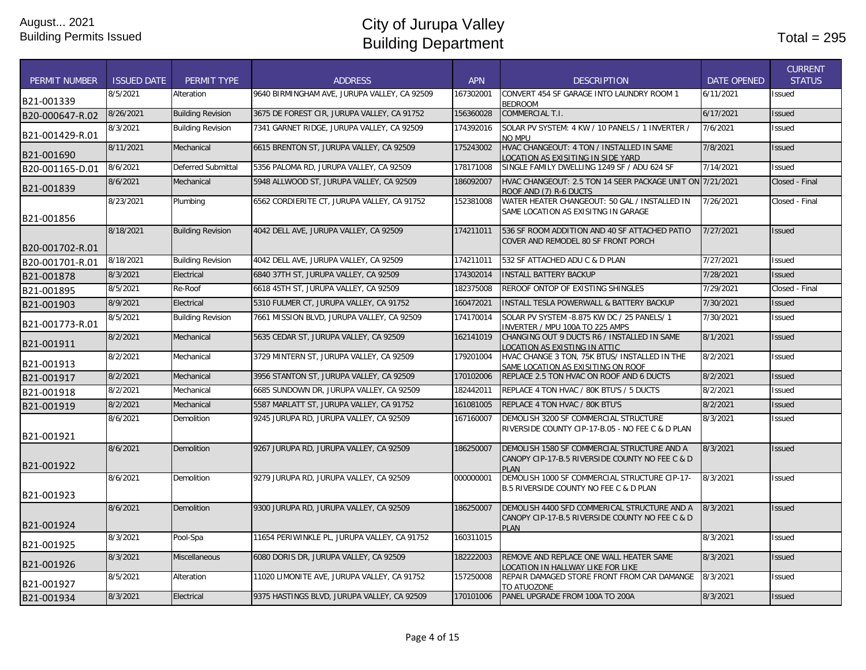| <b>PERMIT NUMBER</b> | <b>ISSUED DATE</b> | PERMIT TYPE              | <b>ADDRESS</b>                               | <b>APN</b> | <b>DESCRIPTION</b>                                                                                             | <b>DATE OPENED</b> | <b>CURRENT</b><br><b>STATUS</b> |
|----------------------|--------------------|--------------------------|----------------------------------------------|------------|----------------------------------------------------------------------------------------------------------------|--------------------|---------------------------------|
| B21-001339           | 8/5/2021           | Alteration               | 9640 BIRMINGHAM AVE, JURUPA VALLEY, CA 92509 | 167302001  | CONVERT 454 SF GARAGE INTO LAUNDRY ROOM 1<br><b>BEDROOM</b>                                                    | 6/11/2021          | Issued                          |
| B20-000647-R.02      | 8/26/2021          | <b>Building Revision</b> | 3675 DE FOREST CIR. JURUPA VALLEY. CA 91752  | 156360028  | <b>COMMERCIAL T.I.</b>                                                                                         | 6/17/2021          | Issued                          |
| B21-001429-R.01      | 8/3/2021           | <b>Building Revision</b> | 7341 GARNET RIDGE, JURUPA VALLEY, CA 92509   | 174392016  | SOLAR PV SYSTEM: 4 KW / 10 PANELS / 1 INVERTER /<br>NO MPU                                                     | 7/6/2021           | Issued                          |
| B21-001690           | 8/11/2021          | Mechanical               | 6615 BRENTON ST, JURUPA VALLEY, CA 92509     | 175243002  | HVAC CHANGEOUT: 4 TON / INSTALLED IN SAME<br>OCATION AS EXISITING IN SIDE YARD                                 | 7/8/2021           | <b>Issued</b>                   |
| B20-001165-D.01      | 8/6/2021           | Deferred Submittal       | 5356 PALOMA RD, JURUPA VALLEY, CA 92509      | 178171008  | SINGLE FAMILY DWELLING 1249 SF / ADU 624 SF                                                                    | 7/14/2021          | Issued                          |
| B21-001839           | 8/6/2021           | Mechanical               | 5948 ALLWOOD ST, JURUPA VALLEY, CA 92509     | 186092007  | HVAC CHANGEOUT: 2.5 TON 14 SEER PACKAGE UNIT ON 7/21/2021<br>ROOF AND (7) R-6 DUCTS                            |                    | Closed - Final                  |
| B21-001856           | 8/23/2021          | Plumbing                 | 6562 CORDIERITE CT, JURUPA VALLEY, CA 91752  | 152381008  | WATER HEATER CHANGEOUT: 50 GAL / INSTALLED IN<br>SAME LOCATION AS EXISITNG IN GARAGE                           | 7/26/2021          | Closed - Final                  |
| B20-001702-R.01      | 8/18/2021          | <b>Building Revision</b> | 4042 DELL AVE, JURUPA VALLEY, CA 92509       | 174211011  | 536 SF ROOM ADDITION AND 40 SF ATTACHED PATIO<br>COVER AND REMODEL 80 SF FRONT PORCH                           | 7/27/2021          | Issued                          |
| B20-001701-R.01      | 8/18/2021          | <b>Building Revision</b> | 4042 DELL AVE, JURUPA VALLEY, CA 92509       | 174211011  | 532 SF ATTACHED ADU C & D PLAN                                                                                 | 7/27/2021          | Issued                          |
| B21-001878           | 8/3/2021           | Electrical               | 6840 37TH ST, JURUPA VALLEY, CA 92509        | 174302014  | <b>INSTALL BATTERY BACKUP</b>                                                                                  | 7/28/2021          | Issued                          |
| B21-001895           | 8/5/2021           | Re-Roof                  | 6618 45TH ST, JURUPA VALLEY, CA 92509        | 182375008  | REROOF ONTOP OF EXISTING SHINGLES                                                                              | 7/29/2021          | Closed - Final                  |
| B21-001903           | 8/9/2021           | Electrical               | 5310 FULMER CT, JURUPA VALLEY, CA 91752      | 160472021  | <b>INSTALL TESLA POWERWALL &amp; BATTERY BACKUP</b>                                                            | 7/30/2021          | Issued                          |
| B21-001773-R.01      | 8/5/2021           | <b>Building Revision</b> | 7661 MISSION BLVD, JURUPA VALLEY, CA 92509   | 174170014  | SOLAR PV SYSTEM -8.875 KW DC / 25 PANELS/ 1<br>INVERTER / MPU 100A TO 225 AMPS                                 | 7/30/2021          | Issued                          |
| B21-001911           | 8/2/2021           | Mechanical               | 5635 CEDAR ST, JURUPA VALLEY, CA 92509       | 162141019  | CHANGING OUT 9 DUCTS R6 / INSTALLED IN SAME<br>LOCATION AS EXISTING IN ATTIC                                   | 8/1/2021           | <b>Issued</b>                   |
| B21-001913           | 8/2/2021           | Mechanical               | 3729 MINTERN ST, JURUPA VALLEY, CA 92509     | 179201004  | HVAC CHANGE 3 TON, 75K BTUS/ INSTALLED IN THE<br>SAME LOCATION AS EXISITING ON ROOF                            | 8/2/2021           | <b>Issued</b>                   |
| B21-001917           | 8/2/2021           | Mechanical               | 3956 STANTON ST. JURUPA VALLEY. CA 92509     | 170102006  | REPLACE 2.5 TON HVAC ON ROOF AND 6 DUCTS                                                                       | 8/2/2021           | Issued                          |
| B21-001918           | 8/2/2021           | Mechanical               | 6685 SUNDOWN DR, JURUPA VALLEY, CA 92509     | 182442011  | REPLACE 4 TON HVAC / 80K BTU'S / 5 DUCTS                                                                       | 8/2/2021           | Issued                          |
| B21-001919           | 8/2/2021           | Mechanical               | 5587 MARLATT ST, JURUPA VALLEY, CA 91752     | 161081005  | REPLACE 4 TON HVAC / 80K BTU'S                                                                                 | 8/2/2021           | Issued                          |
| B21-001921           | 8/6/2021           | Demolition               | 9245 JURUPA RD, JURUPA VALLEY, CA 92509      | 167160007  | DEMOLISH 3200 SF COMMERCIAL STRUCTURE<br>RIVERSIDE COUNTY CIP-17-B.05 - NO FEE C & D PLAN                      | 8/3/2021           | <b>Issued</b>                   |
| B21-001922           | 8/6/2021           | Demolition               | 9267 JURUPA RD, JURUPA VALLEY, CA 92509      | 186250007  | DEMOLISH 1580 SF COMMERCIAL STRUCTURE AND A<br>CANOPY CIP-17-B.5 RIVERSIDE COUNTY NO FEE C & D<br>PLAN         | 8/3/2021           | <b>Issued</b>                   |
| B21-001923           | 8/6/2021           | Demolition               | 9279 JURUPA RD, JURUPA VALLEY, CA 92509      | 000000001  | DEMOLISH 1000 SF COMMERCIAL STRUCTURE CIP-17-<br><b>B.5 RIVERSIDE COUNTY NO FEE C &amp; D PLAN</b>             | 8/3/2021           | <b>Issued</b>                   |
| B21-001924           | 8/6/2021           | Demolition               | 9300 JURUPA RD, JURUPA VALLEY, CA 92509      | 186250007  | DEMOLISH 4400 SFD COMMERICAL STRUCTURE AND A<br>CANOPY CIP-17-B.5 RIVERSIDE COUNTY NO FEE C & D<br><b>PLAN</b> | 8/3/2021           | Issued                          |
| B21-001925           | 8/3/2021           | Pool-Spa                 | 11654 PERIWINKLE PL, JURUPA VALLEY, CA 91752 | 160311015  |                                                                                                                | 8/3/2021           | Issued                          |
| B21-001926           | 8/3/2021           | <b>Miscellaneous</b>     | 6080 DORIS DR, JURUPA VALLEY, CA 92509       | 182222003  | REMOVE AND REPLACE ONE WALL HEATER SAME<br>LOCATION IN HALLWAY LIKE FOR LIKE                                   | 8/3/2021           | Issued                          |
| B21-001927           | 8/5/2021           | Alteration               | 11020 LIMONITE AVE, JURUPA VALLEY, CA 91752  | 157250008  | REPAIR DAMAGED STORE FRONT FROM CAR DAMANGE<br>TO ATUOZONE                                                     | 8/3/2021           | Issued                          |
| B21-001934           | 8/3/2021           | Electrical               | 9375 HASTINGS BLVD, JURUPA VALLEY, CA 92509  | 170101006  | PANEL UPGRADE FROM 100A TO 200A                                                                                | 8/3/2021           | <b>Issued</b>                   |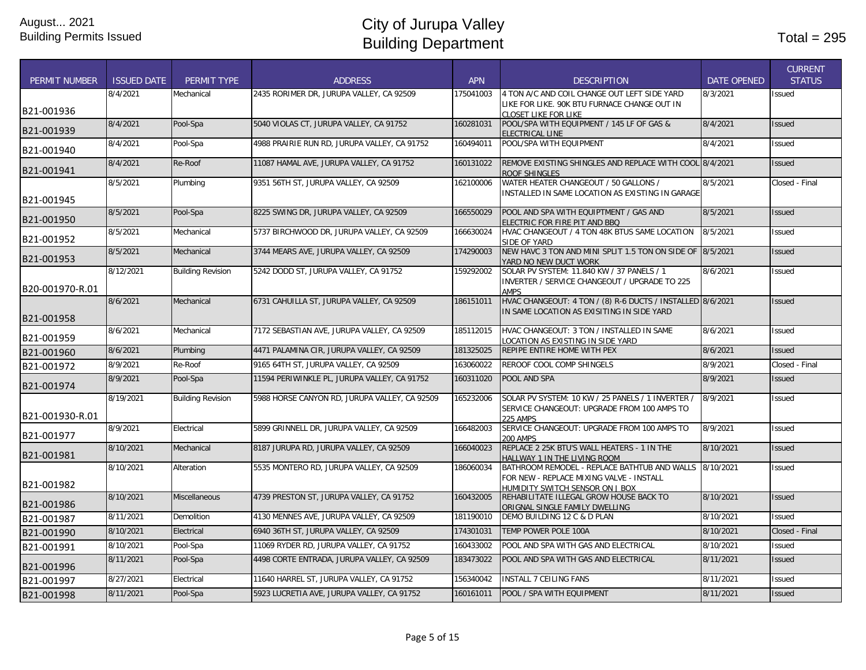| <b>PERMIT NUMBER</b> | <b>ISSUED DATE</b> | <b>PERMIT TYPE</b>       | <b>ADDRESS</b>                                | <b>APN</b> | <b>DESCRIPTION</b>                                                                           | <b>DATE OPENED</b> | <b>CURRENT</b><br><b>STATUS</b> |
|----------------------|--------------------|--------------------------|-----------------------------------------------|------------|----------------------------------------------------------------------------------------------|--------------------|---------------------------------|
|                      | 8/4/2021           |                          |                                               |            |                                                                                              | 8/3/2021           |                                 |
|                      |                    | Mechanical               | 2435 RORIMER DR, JURUPA VALLEY, CA 92509      | 175041003  | 4 TON A/C AND COIL CHANGE OUT LEFT SIDE YARD<br>LIKE FOR LIKE. 90K BTU FURNACE CHANGE OUT IN |                    | Issued                          |
| B21-001936           |                    |                          |                                               |            | CLOSET LIKE FOR LIKE                                                                         |                    |                                 |
|                      | 8/4/2021           | Pool-Spa                 | 5040 VIOLAS CT, JURUPA VALLEY, CA 91752       | 160281031  | POOL/SPA WITH EQUIPMENT / 145 LF OF GAS &                                                    | 8/4/2021           | <b>Issued</b>                   |
| B21-001939           |                    |                          |                                               |            | <b>ELECTRICAL LINE</b>                                                                       |                    |                                 |
| B21-001940           | 8/4/2021           | Pool-Spa                 | 4988 PRAIRIE RUN RD, JURUPA VALLEY, CA 91752  | 160494011  | POOL/SPA WITH EQUIPMENT                                                                      | 8/4/2021           | Issued                          |
| B21-001941           | 8/4/2021           | Re-Roof                  | 11087 HAMAL AVE, JURUPA VALLEY, CA 91752      | 160131022  | REMOVE EXISTING SHINGLES AND REPLACE WITH COOL 8/4/2021<br>ROOF SHINGLES                     |                    | <b>Issued</b>                   |
|                      | 8/5/2021           | Plumbing                 | 9351 56TH ST, JURUPA VALLEY, CA 92509         | 162100006  | WATER HEATER CHANGEOUT / 50 GALLONS /                                                        | 8/5/2021           | Closed - Final                  |
|                      |                    |                          |                                               |            | INSTALLED IN SAME LOCATION AS EXISTING IN GARAGE                                             |                    |                                 |
| B21-001945           |                    |                          |                                               |            |                                                                                              |                    |                                 |
| B21-001950           | 8/5/2021           | Pool-Spa                 | 8225 SWING DR, JURUPA VALLEY, CA 92509        | 166550029  | POOL AND SPA WITH EQUIPTMENT / GAS AND                                                       | 8/5/2021           | <b>Issued</b>                   |
|                      | 8/5/2021           | Mechanical               | 5737 BIRCHWOOD DR, JURUPA VALLEY, CA 92509    | 166630024  | ELECTRIC FOR FIRE PIT AND BBQ<br>HVAC CHANGEOUT / 4 TON 48K BTUS SAME LOCATION               | 8/5/2021           | Issued                          |
| B21-001952           |                    |                          |                                               |            | SIDE OF YARD                                                                                 |                    |                                 |
|                      | 8/5/2021           | Mechanical               | 3744 MEARS AVE, JURUPA VALLEY, CA 92509       | 174290003  | NEW HAVC 3 TON AND MINI SPLIT 1.5 TON ON SIDE OF                                             | 8/5/2021           | <b>Issued</b>                   |
| B21-001953           |                    |                          |                                               |            | YARD NO NEW DUCT WORK                                                                        |                    |                                 |
|                      | 8/12/2021          | <b>Building Revision</b> | 5242 DODD ST. JURUPA VALLEY. CA 91752         | 159292002  | SOLAR PV SYSTEM: 11.840 KW / 37 PANELS / 1                                                   | 8/6/2021           | Issued                          |
| B20-001970-R.01      |                    |                          |                                               |            | <b>INVERTER / SERVICE CHANGEOUT / UPGRADE TO 225</b><br><b>AMPS</b>                          |                    |                                 |
|                      | 8/6/2021           | Mechanical               | 6731 CAHUILLA ST, JURUPA VALLEY, CA 92509     | 186151011  | HVAC CHANGEOUT: 4 TON / (8) R-6 DUCTS / INSTALLED 8/6/2021                                   |                    | <b>Issued</b>                   |
|                      |                    |                          |                                               |            | IN SAME LOCATION AS EXISITING IN SIDE YARD                                                   |                    |                                 |
| B21-001958           |                    |                          |                                               |            |                                                                                              |                    |                                 |
| B21-001959           | 8/6/2021           | Mechanical               | 7172 SEBASTIAN AVE, JURUPA VALLEY, CA 92509   | 185112015  | HVAC CHANGEOUT: 3 TON / INSTALLED IN SAME                                                    | 8/6/2021           | <b>Issued</b>                   |
| B21-001960           | 8/6/2021           | Plumbing                 | 4471 PALAMINA CIR, JURUPA VALLEY, CA 92509    | 181325025  | OCATION AS EXISTING IN SIDE YARD<br>REPIPE ENTIRE HOME WITH PEX                              | 8/6/2021           | <b>Issued</b>                   |
|                      | 8/9/2021           | Re-Roof                  | 9165 64TH ST, JURUPA VALLEY, CA 92509         | 163060022  | REROOF COOL COMP SHINGELS                                                                    | 8/9/2021           | Closed - Final                  |
| B21-001972           |                    |                          |                                               |            |                                                                                              |                    |                                 |
| B21-001974           | 8/9/2021           | Pool-Spa                 | 11594 PERIWINKLE PL, JURUPA VALLEY, CA 91752  | 160311020  | POOL AND SPA                                                                                 | 8/9/2021           | <b>Issued</b>                   |
|                      | 8/19/2021          | <b>Building Revision</b> | 5988 HORSE CANYON RD, JURUPA VALLEY, CA 92509 | 165232006  | SOLAR PV SYSTEM: 10 KW / 25 PANELS / 1 INVERTER                                              | 8/9/2021           | Issued                          |
|                      |                    |                          |                                               |            | SERVICE CHANGEOUT: UPGRADE FROM 100 AMPS TO                                                  |                    |                                 |
| B21-001930-R.01      |                    |                          |                                               |            | 225 AMPS                                                                                     |                    |                                 |
| B21-001977           | 8/9/2021           | Electrical               | 5899 GRINNELL DR, JURUPA VALLEY, CA 92509     | 166482003  | SERVICE CHANGEOUT: UPGRADE FROM 100 AMPS TO<br>200 AMPS                                      | 8/9/2021           | <b>Issued</b>                   |
|                      | 8/10/2021          | Mechanical               | 8187 JURUPA RD, JURUPA VALLEY, CA 92509       | 166040023  | REPLACE 2 25K BTU'S WALL HEATERS - 1 IN THE                                                  | 8/10/2021          | <b>Issued</b>                   |
| B21-001981           |                    |                          |                                               |            | HALLWAY 1 IN THE LIVING ROOM                                                                 |                    |                                 |
|                      | 8/10/2021          | Alteration               | 5535 MONTERO RD, JURUPA VALLEY, CA 92509      | 186060034  | BATHROOM REMODEL - REPLACE BATHTUB AND WALLS 8/10/2021                                       |                    | <b>Issued</b>                   |
| B21-001982           |                    |                          |                                               |            | FOR NEW - REPLACE MIXING VALVE - INSTALL                                                     |                    |                                 |
|                      | 8/10/2021          | <b>Miscellaneous</b>     | 4739 PRESTON ST, JURUPA VALLEY, CA 91752      | 160432005  | HUMIDITY SWITCH SENSOR ON J BOX<br>REHABILITATE ILLEGAL GROW HOUSE BACK TO                   | 8/10/2021          | <b>Issued</b>                   |
| B21-001986           |                    |                          |                                               |            | ORIGNAL SINGLE FAMILY DWELLING                                                               |                    |                                 |
| B21-001987           | 8/11/2021          | <b>Demolition</b>        | 4130 MENNES AVE, JURUPA VALLEY, CA 92509      | 181190010  | DEMO BUILDING 12 C & D PLAN                                                                  | 8/10/2021          | Issued                          |
| B21-001990           | 8/10/2021          | Electrical               | 6940 36TH ST. JURUPA VALLEY. CA 92509         | 174301031  | TEMP POWER POLE 100A                                                                         | 8/10/2021          | Closed - Final                  |
| B21-001991           | 8/10/2021          | Pool-Spa                 | 11069 RYDER RD, JURUPA VALLEY, CA 91752       | 160433002  | POOL AND SPA WITH GAS AND ELECTRICAL                                                         | 8/10/2021          | <b>Issued</b>                   |
|                      | 8/11/2021          | Pool-Spa                 | 4498 CORTE ENTRADA, JURUPA VALLEY, CA 92509   | 183473022  | POOL AND SPA WITH GAS AND ELECTRICAL                                                         | 8/11/2021          | <b>Issued</b>                   |
| B21-001996           |                    |                          |                                               |            |                                                                                              |                    |                                 |
| B21-001997           | 8/27/2021          | Electrical               | 11640 HARREL ST, JURUPA VALLEY, CA 91752      | 156340042  | <b>INSTALL 7 CEILING FANS</b>                                                                | 8/11/2021          | Issued                          |
| B21-001998           | 8/11/2021          | Pool-Spa                 | 5923 LUCRETIA AVE, JURUPA VALLEY, CA 91752    | 160161011  | POOL / SPA WITH EQUIPMENT                                                                    | 8/11/2021          | <b>Issued</b>                   |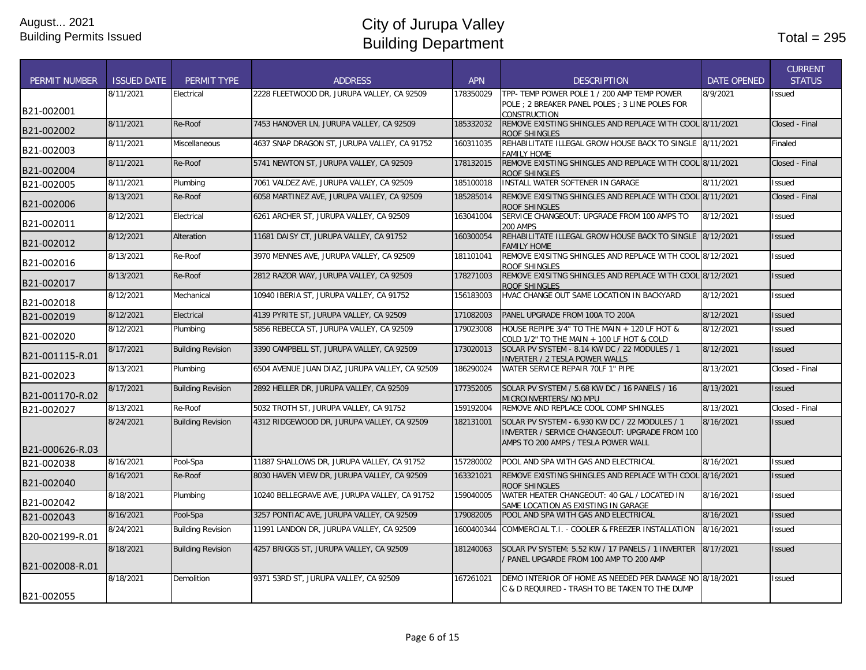|                      |                    |                          |                                                |            |                                                                                                                                         |                    | <b>CURRENT</b> |
|----------------------|--------------------|--------------------------|------------------------------------------------|------------|-----------------------------------------------------------------------------------------------------------------------------------------|--------------------|----------------|
| <b>PERMIT NUMBER</b> | <b>ISSUED DATE</b> | PERMIT TYPE              | <b>ADDRESS</b>                                 | <b>APN</b> | <b>DESCRIPTION</b>                                                                                                                      | <b>DATE OPENED</b> | <b>STATUS</b>  |
|                      | 8/11/2021          | Electrical               | 2228 FLEETWOOD DR. JURUPA VALLEY, CA 92509     | 178350029  | TPP- TEMP POWER POLE 1 / 200 AMP TEMP POWER<br>POLE : 2 BREAKER PANEL POLES : 3 LINE POLES FOR                                          | 8/9/2021           | <b>Issued</b>  |
| B21-002001           |                    |                          |                                                |            | CONSTRUCTION                                                                                                                            |                    |                |
| B21-002002           | 8/11/2021          | Re-Roof                  | 7453 HANOVER LN, JURUPA VALLEY, CA 92509       | 185332032  | REMOVE EXISTING SHINGLES AND REPLACE WITH COOL 8/11/2021<br>ROOF SHINGLES                                                               |                    | Closed - Final |
| B21-002003           | 8/11/2021          | <b>Miscellaneous</b>     | 4637 SNAP DRAGON ST, JURUPA VALLEY, CA 91752   | 160311035  | REHABILITATE ILLEGAL GROW HOUSE BACK TO SINGLE 8/11/2021<br><b>FAMILY HOME</b>                                                          |                    | Finaled        |
| B21-002004           | 8/11/2021          | Re-Roof                  | 5741 NEWTON ST, JURUPA VALLEY, CA 92509        | 178132015  | REMOVE EXISTING SHINGLES AND REPLACE WITH COOL 8/11/2021<br>ROOF SHINGLES                                                               |                    | Closed - Final |
| B21-002005           | 8/11/2021          | Plumbing                 | 7061 VALDEZ AVE, JURUPA VALLEY, CA 92509       | 185100018  | INSTALL WATER SOFTENER IN GARAGE                                                                                                        | 8/11/2021          | <b>Issued</b>  |
| B21-002006           | 8/13/2021          | Re-Roof                  | 6058 MARTINEZ AVE, JURUPA VALLEY, CA 92509     | 185285014  | REMOVE EXISITNG SHINGLES AND REPLACE WITH COOL 8/11/2021<br>ROOF SHINGLES                                                               |                    | Closed - Final |
| B21-002011           | 8/12/2021          | Electrical               | 6261 ARCHER ST, JURUPA VALLEY, CA 92509        | 163041004  | SERVICE CHANGEOUT: UPGRADE FROM 100 AMPS TO<br>200 AMPS                                                                                 | 8/12/2021          | <b>Issued</b>  |
| B21-002012           | 8/12/2021          | Alteration               | 11681 DAISY CT, JURUPA VALLEY, CA 91752        | 160300054  | REHABILITATE ILLEGAL GROW HOUSE BACK TO SINGLE 8/12/2021<br><b>FAMILY HOME</b>                                                          |                    | <b>Issued</b>  |
| B21-002016           | 8/13/2021          | Re-Roof                  | 3970 MENNES AVE, JURUPA VALLEY, CA 92509       | 181101041  | REMOVE EXISITNG SHINGLES AND REPLACE WITH COOL 8/12/2021<br>ROOF SHINGLES                                                               |                    | <b>Issued</b>  |
| B21-002017           | 8/13/2021          | Re-Roof                  | 2812 RAZOR WAY, JURUPA VALLEY, CA 92509        | 178271003  | REMOVE EXISITNG SHINGLES AND REPLACE WITH COOL 8/12/2021<br>ROOF SHINGLES                                                               |                    | <b>Issued</b>  |
| B21-002018           | 8/12/2021          | Mechanical               | 10940 IBERIA ST, JURUPA VALLEY, CA 91752       | 156183003  | HVAC CHANGE OUT SAME LOCATION IN BACKYARD                                                                                               | 8/12/2021          | <b>Issued</b>  |
| B21-002019           | 8/12/2021          | Electrical               | 4139 PYRITE ST, JURUPA VALLEY, CA 92509        | 171082003  | PANEL UPGRADE FROM 100A TO 200A                                                                                                         | 8/12/2021          | <b>Issued</b>  |
| B21-002020           | 8/12/2021          | Plumbing                 | 5856 REBECCA ST, JURUPA VALLEY, CA 92509       | 179023008  | HOUSE REPIPE 3/4" TO THE MAIN + 120 LF HOT &<br>COLD 1/2" TO THE MAIN + 100 LF HOT & COLD                                               | 8/12/2021          | <b>Issued</b>  |
| B21-001115-R.01      | 8/17/2021          | <b>Building Revision</b> | 3390 CAMPBELL ST, JURUPA VALLEY, CA 92509      | 173020013  | SOLAR PV SYSTEM - 8.14 KW DC / 22 MODULES / 1<br>INVERTER / 2 TESLA POWER WALLS                                                         | 8/12/2021          | <b>Issued</b>  |
| B21-002023           | 8/13/2021          | Plumbing                 | 6504 AVENUE JUAN DIAZ, JURUPA VALLEY, CA 92509 | 186290024  | WATER SERVICE REPAIR 70LF 1" PIPE                                                                                                       | 8/13/2021          | Closed - Final |
| B21-001170-R.02      | 8/17/2021          | <b>Building Revision</b> | 2892 HELLER DR, JURUPA VALLEY, CA 92509        | 177352005  | SOLAR PV SYSTEM / 5.68 KW DC / 16 PANELS / 16<br>MICROINVERTERS/ NO MPU                                                                 | 8/13/2021          | <b>Issued</b>  |
| B21-002027           | 8/13/2021          | Re-Roof                  | 5032 TROTH ST, JURUPA VALLEY, CA 91752         | 159192004  | REMOVE AND REPLACE COOL COMP SHINGLES                                                                                                   | 8/13/2021          | Closed - Final |
| B21-000626-R.03      | 8/24/2021          | <b>Building Revision</b> | 4312 RIDGEWOOD DR, JURUPA VALLEY, CA 92509     | 182131001  | SOLAR PV SYSTEM - 6.930 KW DC / 22 MODULES / 1<br>INVERTER / SERVICE CHANGEOUT: UPGRADE FROM 100<br>AMPS TO 200 AMPS / TESLA POWER WALL | 8/16/2021          | <b>Issued</b>  |
| B21-002038           | 8/16/2021          | Pool-Spa                 | 11887 SHALLOWS DR, JURUPA VALLEY, CA 91752     | 157280002  | POOL AND SPA WITH GAS AND ELECTRICAL                                                                                                    | 8/16/2021          | <b>Issued</b>  |
| B21-002040           | 8/16/2021          | Re-Roof                  | 8030 HAVEN VIEW DR, JURUPA VALLEY, CA 92509    | 163321021  | REMOVE EXISTING SHINGLES AND REPLACE WITH COOL 8/16/2021<br>ROOF SHINGLES                                                               |                    | <b>Issued</b>  |
| B21-002042           | 8/18/2021          | Plumbing                 | 10240 BELLEGRAVE AVE, JURUPA VALLEY, CA 91752  | 159040005  | WATER HEATER CHANGEOUT: 40 GAL / LOCATED IN<br>SAME LOCATION AS EXISTING IN GARAGE                                                      | 8/16/2021          | <b>Issued</b>  |
| B21-002043           | 8/16/2021          | Pool-Spa                 | 3257 PONTIAC AVE, JURUPA VALLEY, CA 92509      | 179082005  | POOL AND SPA WITH GAS AND ELECTRICAL                                                                                                    | 8/16/2021          | <b>Issued</b>  |
| B20-002199-R.01      | 8/24/2021          | <b>Building Revision</b> | 11991 LANDON DR, JURUPA VALLEY, CA 92509       | 1600400344 | COMMERCIAL T.I. - COOLER & FREEZER INSTALLATION                                                                                         | 8/16/2021          | <b>Issued</b>  |
|                      | 8/18/2021          | <b>Building Revision</b> | 4257 BRIGGS ST, JURUPA VALLEY, CA 92509        | 181240063  | SOLAR PV SYSTEM: 5.52 KW / 17 PANELS / 1 INVERTER                                                                                       | 8/17/2021          | <b>Issued</b>  |
| B21-002008-R.01      |                    |                          |                                                |            | / PANEL UPGARDE FROM 100 AMP TO 200 AMP                                                                                                 |                    |                |
| B21-002055           | 8/18/2021          | Demolition               | 9371 53RD ST. JURUPA VALLEY. CA 92509          | 167261021  | DEMO INTERIOR OF HOME AS NEEDED PER DAMAGE NO<br>C & D REQUIRED - TRASH TO BE TAKEN TO THE DUMP                                         | 8/18/2021          | <b>Issued</b>  |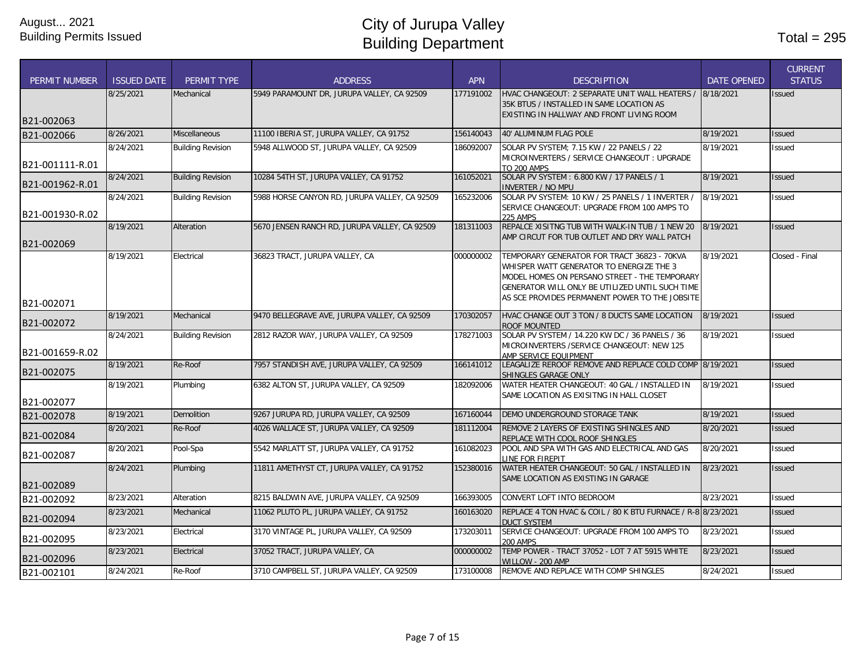| <b>PERMIT NUMBER</b> | <b>ISSUED DATE</b> | <b>PERMIT TYPE</b>       | <b>ADDRESS</b>                                | <b>APN</b> | <b>DESCRIPTION</b>                                                                                                                                                                                                                            | <b>DATE OPENED</b> | <b>CURRENT</b><br><b>STATUS</b> |
|----------------------|--------------------|--------------------------|-----------------------------------------------|------------|-----------------------------------------------------------------------------------------------------------------------------------------------------------------------------------------------------------------------------------------------|--------------------|---------------------------------|
|                      | 8/25/2021          | Mechanical               | 5949 PARAMOUNT DR, JURUPA VALLEY, CA 92509    | 177191002  | HVAC CHANGEOUT: 2 SEPARATE UNIT WALL HEATERS / 8/18/2021<br>35K BTUS / INSTALLED IN SAME LOCATION AS<br>EXISTING IN HALLWAY AND FRONT LIVING ROOM                                                                                             |                    | <b>Issued</b>                   |
| B21-002063           |                    |                          |                                               |            |                                                                                                                                                                                                                                               |                    |                                 |
| B21-002066           | 8/26/2021          | <b>Miscellaneous</b>     | 11100 IBERIA ST, JURUPA VALLEY, CA 91752      | 156140043  | 40' ALUMINUM FLAG POLE                                                                                                                                                                                                                        | 8/19/2021          | <b>Issued</b>                   |
| B21-001111-R.01      | 8/24/2021          | <b>Building Revision</b> | 5948 ALLWOOD ST, JURUPA VALLEY, CA 92509      | 186092007  | SOLAR PV SYSTEM; 7.15 KW / 22 PANELS / 22<br>MICROINVERTERS / SERVICE CHANGEOUT : UPGRADE<br><b>TO 200 AMPS</b>                                                                                                                               | 8/19/2021          | <b>Issued</b>                   |
| B21-001962-R.01      | 8/24/2021          | <b>Building Revision</b> | 10284 54TH ST, JURUPA VALLEY, CA 91752        | 161052021  | SOLAR PV SYSTEM: 6.800 KW / 17 PANELS / 1<br><b>INVERTER / NO MPU</b>                                                                                                                                                                         | 8/19/2021          | <b>Issued</b>                   |
| B21-001930-R.02      | 8/24/2021          | <b>Building Revision</b> | 5988 HORSE CANYON RD, JURUPA VALLEY, CA 92509 | 165232006  | SOLAR PV SYSTEM: 10 KW / 25 PANELS / 1 INVERTER /<br>SERVICE CHANGEOUT: UPGRADE FROM 100 AMPS TO<br><b>225 AMPS</b>                                                                                                                           | 8/19/2021          | <b>Issued</b>                   |
| B21-002069           | 8/19/2021          | Alteration               | 5670 JENSEN RANCH RD, JURUPA VALLEY, CA 92509 | 181311003  | REPALCE XISITNG TUB WITH WALK-IN TUB / 1 NEW 20<br>AMP CIRCUT FOR TUB OUTLET AND DRY WALL PATCH                                                                                                                                               | 8/19/2021          | <b>Issued</b>                   |
|                      | 8/19/2021          | Electrical               | 36823 TRACT, JURUPA VALLEY, CA                | 000000002  | TEMPORARY GENERATOR FOR TRACT 36823 - 70KVA<br>WHISPER WATT GENERATOR TO ENERGIZE THE 3<br>MODEL HOMES ON PERSANO STREET - THE TEMPORARY<br>GENERATOR WILL ONLY BE UTILIZED UNTIL SUCH TIME<br>AS SCE PROVIDES PERMANENT POWER TO THE JOBSITE | 8/19/2021          | Closed - Final                  |
| B21-002071           |                    |                          |                                               |            |                                                                                                                                                                                                                                               |                    |                                 |
| B21-002072           | 8/19/2021          | Mechanical               | 9470 BELLEGRAVE AVE, JURUPA VALLEY, CA 92509  | 170302057  | HVAC CHANGE OUT 3 TON / 8 DUCTS SAME LOCATION<br><b>ROOF MOUNTED</b>                                                                                                                                                                          | 8/19/2021          | <b>Issued</b>                   |
| B21-001659-R.02      | 8/24/2021          | <b>Building Revision</b> | 2812 RAZOR WAY, JURUPA VALLEY, CA 92509       | 178271003  | SOLAR PV SYSTEM / 14.220 KW DC / 36 PANELS / 36<br>MICROINVERTERS / SERVICE CHANGEOUT: NEW 125<br>AMP SERVICE EQUIPMENT                                                                                                                       | 8/19/2021          | Issued                          |
| B21-002075           | 8/19/2021          | Re-Roof                  | 7957 STANDISH AVE, JURUPA VALLEY, CA 92509    | 166141012  | LEAGALIZE REROOF REMOVE AND REPLACE COLD COMP 8/19/2021<br>SHINGLES GARAGE ONLY                                                                                                                                                               |                    | <b>Issued</b>                   |
| B21-002077           | 8/19/2021          | Plumbing                 | 6382 ALTON ST, JURUPA VALLEY, CA 92509        | 182092006  | WATER HEATER CHANGEOUT: 40 GAL / INSTALLED IN<br>SAME LOCATION AS EXISITNG IN HALL CLOSET                                                                                                                                                     | 8/19/2021          | Issued                          |
| B21-002078           | 8/19/2021          | <b>Demolition</b>        | 9267 JURUPA RD, JURUPA VALLEY, CA 92509       | 167160044  | DEMO UNDERGROUND STORAGE TANK                                                                                                                                                                                                                 | 8/19/2021          | <b>Issued</b>                   |
| B21-002084           | 8/20/2021          | Re-Roof                  | 4026 WALLACE ST, JURUPA VALLEY, CA 92509      | 181112004  | REMOVE 2 LAYERS OF EXISTING SHINGLES AND<br>REPLACE WITH COOL ROOF SHINGLES                                                                                                                                                                   | 8/20/2021          | <b>Issued</b>                   |
| B21-002087           | 8/20/2021          | Pool-Spa                 | 5542 MARLATT ST, JURUPA VALLEY, CA 91752      | 161082023  | POOL AND SPA WITH GAS AND ELECTRICAL AND GAS<br>LINE FOR FIREPIT                                                                                                                                                                              | 8/20/2021          | <b>Issued</b>                   |
| B21-002089           | 8/24/2021          | Plumbing                 | 11811 AMETHYST CT, JURUPA VALLEY, CA 91752    | 152380016  | WATER HEATER CHANGEOUT: 50 GAL / INSTALLED IN<br>SAME LOCATION AS EXISTING IN GARAGE                                                                                                                                                          | 8/23/2021          | <b>Issued</b>                   |
| B21-002092           | 8/23/2021          | Alteration               | 8215 BALDWIN AVE, JURUPA VALLEY, CA 92509     | 166393005  | CONVERT LOFT INTO BEDROOM                                                                                                                                                                                                                     | 8/23/2021          | Issued                          |
| B21-002094           | 8/23/2021          | Mechanical               | 11062 PLUTO PL, JURUPA VALLEY, CA 91752       | 160163020  | REPLACE 4 TON HVAC & COIL / 80 K BTU FURNACE / R-8 8/23/2021<br><b>DUCT SYSTEM</b>                                                                                                                                                            |                    | <b>Issued</b>                   |
| B21-002095           | 8/23/2021          | Electrical               | 3170 VINTAGE PL, JURUPA VALLEY, CA 92509      | 173203011  | SERVICE CHANGEOUT: UPGRADE FROM 100 AMPS TO<br><b>200 AMPS</b>                                                                                                                                                                                | 8/23/2021          | <b>Issued</b>                   |
| B21-002096           | 8/23/2021          | Electrical               | 37052 TRACT, JURUPA VALLEY, CA                | 000000002  | TEMP POWER - TRACT 37052 - LOT 7 AT 5915 WHITE<br>WILLOW - 200 AMP                                                                                                                                                                            | 8/23/2021          | <b>Issued</b>                   |
| B21-002101           | 8/24/2021          | Re-Roof                  | 3710 CAMPBELL ST, JURUPA VALLEY, CA 92509     | 173100008  | REMOVE AND REPLACE WITH COMP SHINGLES                                                                                                                                                                                                         | 8/24/2021          | Issued                          |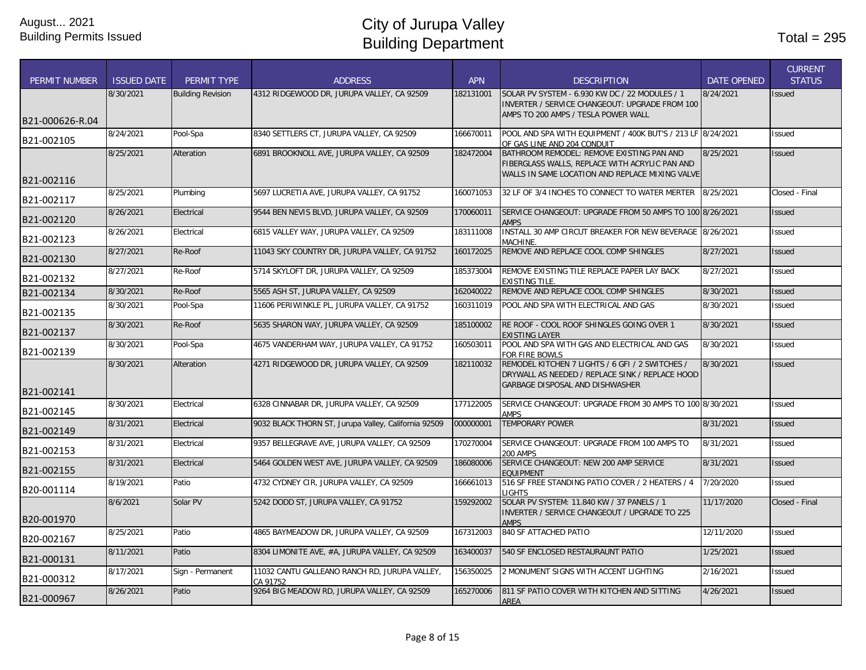| <b>PERMIT NUMBER</b> | <b>ISSUED DATE</b> | PERMIT TYPE              | <b>ADDRESS</b>                                            | <b>APN</b> | <b>DESCRIPTION</b>                                                                                                                    | <b>DATE OPENED</b> | <b>CURRENT</b><br><b>STATUS</b> |
|----------------------|--------------------|--------------------------|-----------------------------------------------------------|------------|---------------------------------------------------------------------------------------------------------------------------------------|--------------------|---------------------------------|
|                      | 8/30/2021          | <b>Building Revision</b> | 4312 RIDGEWOOD DR, JURUPA VALLEY, CA 92509                | 182131001  | SOLAR PV SYSTEM - 6.930 KW DC / 22 MODULES / 1<br>INVERTER / SERVICE CHANGEOUT: UPGRADE FROM 100                                      | 8/24/2021          | <b>Issued</b>                   |
| B21-000626-R.04      |                    |                          |                                                           |            | AMPS TO 200 AMPS / TESLA POWER WALL                                                                                                   |                    |                                 |
| B21-002105           | 8/24/2021          | Pool-Spa                 | 8340 SETTLERS CT, JURUPA VALLEY, CA 92509                 | 166670011  | POOL AND SPA WITH EQUIPMENT / 400K BUT'S / 213 LF 8/24/2021<br>OF GAS LINE AND 204 CONDUIT                                            |                    | <b>Issued</b>                   |
|                      | 8/25/2021          | Alteration               | 6891 BROOKNOLL AVE, JURUPA VALLEY, CA 92509               | 182472004  | BATHROOM REMODEL: REMOVE EXISTING PAN AND<br>FIBERGLASS WALLS, REPLACE WITH ACRYLIC PAN AND                                           | 8/25/2021          | <b>Issued</b>                   |
| B21-002116           |                    |                          |                                                           |            | WALLS IN SAME LOCATION AND REPLACE MIXING VALVE                                                                                       |                    |                                 |
| B21-002117           | 8/25/2021          | Plumbing                 | 5697 LUCRETIA AVE, JURUPA VALLEY, CA 91752                | 160071053  | 32 LF OF 3/4 INCHES TO CONNECT TO WATER MERTER                                                                                        | 8/25/2021          | Closed - Final                  |
| B21-002120           | 8/26/2021          | Electrical               | 9544 BEN NEVIS BLVD, JURUPA VALLEY, CA 92509              | 170060011  | SERVICE CHANGEOUT: UPGRADE FROM 50 AMPS TO 100 8/26/2021<br><b>AMPS</b>                                                               |                    | <b>Issued</b>                   |
| B21-002123           | 8/26/2021          | Electrical               | 6815 VALLEY WAY, JURUPA VALLEY, CA 92509                  | 183111008  | INSTALL 30 AMP CIRCUT BREAKER FOR NEW BEVERAGE 8/26/2021<br>MACHINE.                                                                  |                    | <b>Issued</b>                   |
| B21-002130           | 8/27/2021          | Re-Roof                  | 11043 SKY COUNTRY DR, JURUPA VALLEY, CA 91752             | 160172025  | REMOVE AND REPLACE COOL COMP SHINGLES                                                                                                 | 8/27/2021          | <b>Issued</b>                   |
| B21-002132           | 8/27/2021          | Re-Roof                  | 5714 SKYLOFT DR, JURUPA VALLEY, CA 92509                  | 185373004  | REMOVE EXISTING TILE REPLACE PAPER LAY BACK<br><b>EXISTING TILE.</b>                                                                  | 8/27/2021          | <b>Issued</b>                   |
| B21-002134           | 8/30/2021          | Re-Roof                  | 5565 ASH ST, JURUPA VALLEY, CA 92509                      | 162040022  | REMOVE AND REPLACE COOL COMP SHINGLES                                                                                                 | 8/30/2021          | <b>Issued</b>                   |
| B21-002135           | 8/30/2021          | Pool-Spa                 | 11606 PERIWINKLE PL, JURUPA VALLEY, CA 91752              | 160311019  | POOL AND SPA WITH ELECTRICAL AND GAS                                                                                                  | 8/30/2021          | <b>Issued</b>                   |
| B21-002137           | 8/30/2021          | Re-Roof                  | 5635 SHARON WAY, JURUPA VALLEY, CA 92509                  | 185100002  | RE ROOF - COOL ROOF SHINGLES GOING OVER 1<br><b>EXISTING LAYER</b>                                                                    | 8/30/2021          | <b>Issued</b>                   |
| B21-002139           | 8/30/2021          | Pool-Spa                 | 4675 VANDERHAM WAY, JURUPA VALLEY, CA 91752               | 160503011  | POOL AND SPA WITH GAS AND ELECTRICAL AND GAS<br>FOR FIRE BOWLS                                                                        | 8/30/2021          | Issued                          |
| B21-002141           | 8/30/2021          | Alteration               | 4271 RIDGEWOOD DR, JURUPA VALLEY, CA 92509                | 182110032  | REMODEL KITCHEN 7 LIGHTS / 6 GFI / 2 SWITCHES /<br>DRYWALL AS NEEDED / REPLACE SINK / REPLACE HOOD<br>GARBAGE DISPOSAL AND DISHWASHER | 8/30/2021          | <b>Issued</b>                   |
| B21-002145           | 8/30/2021          | Electrical               | 6328 CINNABAR DR, JURUPA VALLEY, CA 92509                 | 177122005  | SERVICE CHANGEOUT: UPGRADE FROM 30 AMPS TO 100 8/30/2021<br><b>AMPS</b>                                                               |                    | <b>Issued</b>                   |
| B21-002149           | 8/31/2021          | Electrical               | 9032 BLACK THORN ST, Jurupa Valley, California 92509      | 000000001  | <b>TEMPORARY POWER</b>                                                                                                                | 8/31/2021          | <b>Issued</b>                   |
| B21-002153           | 8/31/2021          | Electrical               | 9357 BELLEGRAVE AVE, JURUPA VALLEY, CA 92509              | 170270004  | SERVICE CHANGEOUT: UPGRADE FROM 100 AMPS TO<br><b>200 AMPS</b>                                                                        | 8/31/2021          | Issued                          |
| B21-002155           | 8/31/2021          | Electrical               | 5464 GOLDEN WEST AVE, JURUPA VALLEY, CA 92509             | 186080006  | SERVICE CHANGEOUT: NEW 200 AMP SERVICE<br><b>EQUIPMENT</b>                                                                            | 8/31/2021          | <b>Issued</b>                   |
| B20-001114           | 8/19/2021          | Patio                    | 4732 CYDNEY CIR, JURUPA VALLEY, CA 92509                  | 166661013  | 516 SF FREE STANDING PATIO COVER / 2 HEATERS / 4<br><b>IGHTS</b>                                                                      | 7/20/2020          | <b>Issued</b>                   |
| B20-001970           | 8/6/2021           | Solar PV                 | 5242 DODD ST, JURUPA VALLEY, CA 91752                     | 159292002  | SOLAR PV SYSTEM: 11.840 KW / 37 PANELS / 1<br>INVERTER / SERVICE CHANGEOUT / UPGRADE TO 225<br><b>AMPS</b>                            | 11/17/2020         | Closed - Final                  |
| B20-002167           | 8/25/2021          | Patio                    | 4865 BAYMEADOW DR, JURUPA VALLEY, CA 92509                | 167312003  | 840 SF ATTACHED PATIO                                                                                                                 | 12/11/2020         | <b>Issued</b>                   |
| B21-000131           | 8/11/2021          | Patio                    | 8304 LIMONITE AVE, #A, JURUPA VALLEY, CA 92509            | 163400037  | 540 SF ENCLOSED RESTAURAUNT PATIO                                                                                                     | 1/25/2021          | <b>Issued</b>                   |
| B21-000312           | 8/17/2021          | Sign - Permanent         | 11032 CANTU GALLEANO RANCH RD, JURUPA VALLEY,<br>CA 91752 | 156350025  | 2 MONUMENT SIGNS WITH ACCENT LIGHTING                                                                                                 | 2/16/2021          | <b>Issued</b>                   |
| B21-000967           | 8/26/2021          | Patio                    | 9264 BIG MEADOW RD, JURUPA VALLEY, CA 92509               | 165270006  | 811 SF PATIO COVER WITH KITCHEN AND SITTING<br><b>AREA</b>                                                                            | 4/26/2021          | <b>Issued</b>                   |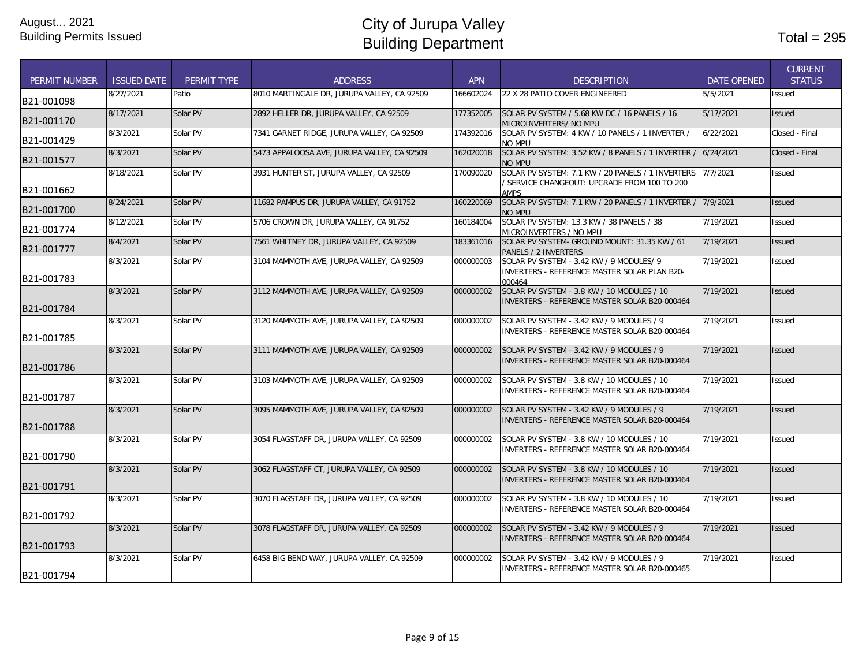| <b>PERMIT NUMBER</b> | <b>ISSUED DATE</b> | <b>PERMIT TYPE</b> | <b>ADDRESS</b>                              | <b>APN</b> | <b>DESCRIPTION</b>                                                                                        | <b>DATE OPENED</b> | <b>CURRENT</b><br><b>STATUS</b> |
|----------------------|--------------------|--------------------|---------------------------------------------|------------|-----------------------------------------------------------------------------------------------------------|--------------------|---------------------------------|
| B21-001098           | 8/27/2021          | Patio              | 8010 MARTINGALE DR, JURUPA VALLEY, CA 92509 | 166602024  | 22 X 28 PATIO COVER ENGINEERED                                                                            | 5/5/2021           | <b>Issued</b>                   |
| B21-001170           | 8/17/2021          | Solar PV           | 2892 HELLER DR, JURUPA VALLEY, CA 92509     | 177352005  | SOLAR PV SYSTEM / 5.68 KW DC / 16 PANELS / 16<br>MICROINVERTERS/ NO MPU                                   | 5/17/2021          | <b>Issued</b>                   |
| B21-001429           | 8/3/2021           | Solar PV           | 7341 GARNET RIDGE, JURUPA VALLEY, CA 92509  | 174392016  | SOLAR PV SYSTEM: 4 KW / 10 PANELS / 1 INVERTER /<br>NO MPU                                                | 6/22/2021          | Closed - Final                  |
| B21-001577           | 8/3/2021           | Solar PV           | 5473 APPALOOSA AVE, JURUPA VALLEY, CA 92509 | 162020018  | SOLAR PV SYSTEM: 3.52 KW / 8 PANELS / 1 INVERTER /<br><b>NO MPU</b>                                       | 6/24/2021          | Closed - Final                  |
| B21-001662           | 8/18/2021          | Solar PV           | 3931 HUNTER ST. JURUPA VALLEY. CA 92509     | 170090020  | SOLAR PV SYSTEM: 7.1 KW / 20 PANELS / 1 INVERTERS<br>SERVICE CHANGEOUT: UPGRADE FROM 100 TO 200<br>AMPS   | 7/7/2021           | <b>Issued</b>                   |
| B21-001700           | 8/24/2021          | Solar PV           | 11682 PAMPUS DR. JURUPA VALLEY. CA 91752    | 160220069  | SOLAR PV SYSTEM: 7.1 KW / 20 PANELS / 1 INVERTER /<br>NO MPU                                              | 7/9/2021           | <b>Issued</b>                   |
| B21-001774           | 8/12/2021          | Solar PV           | 5706 CROWN DR, JURUPA VALLEY, CA 91752      | 160184004  | SOLAR PV SYSTEM: 13.3 KW / 38 PANELS / 38<br>MICROINVERTERS / NO MPU                                      | 7/19/2021          | Issued                          |
| B21-001777           | 8/4/2021           | Solar PV           | 7561 WHITNEY DR, JURUPA VALLEY, CA 92509    | 183361016  | SOLAR PV SYSTEM- GROUND MOUNT: 31.35 KW / 61<br>PANELS / 2 INVERTERS                                      | 7/19/2021          | <b>Issued</b>                   |
| B21-001783           | 8/3/2021           | Solar PV           | 3104 MAMMOTH AVE, JURUPA VALLEY, CA 92509   | 000000003  | SOLAR PV SYSTEM - 3.42 KW / 9 MODULES/ 9<br><b>INVERTERS - REFERENCE MASTER SOLAR PLAN B20-</b><br>000464 | 7/19/2021          | <b>Issued</b>                   |
| B21-001784           | 8/3/2021           | Solar PV           | 3112 MAMMOTH AVE, JURUPA VALLEY, CA 92509   | 000000002  | SOLAR PV SYSTEM - 3.8 KW / 10 MODULES / 10<br>INVERTERS - REFERENCE MASTER SOLAR B20-000464               | 7/19/2021          | <b>Issued</b>                   |
| B21-001785           | 8/3/2021           | Solar PV           | 3120 MAMMOTH AVE, JURUPA VALLEY, CA 92509   | 000000002  | SOLAR PV SYSTEM - 3.42 KW / 9 MODULES / 9<br>INVERTERS - REFERENCE MASTER SOLAR B20-000464                | 7/19/2021          | <b>Issued</b>                   |
| B21-001786           | 8/3/2021           | Solar PV           | 3111 MAMMOTH AVE, JURUPA VALLEY, CA 92509   | 000000002  | SOLAR PV SYSTEM - 3.42 KW / 9 MODULES / 9<br><b>INVERTERS - REFERENCE MASTER SOLAR B20-000464</b>         | 7/19/2021          | <b>Issued</b>                   |
| B21-001787           | 8/3/2021           | Solar PV           | 3103 MAMMOTH AVE, JURUPA VALLEY, CA 92509   | 000000002  | SOLAR PV SYSTEM - 3.8 KW / 10 MODULES / 10<br>INVERTERS - REFERENCE MASTER SOLAR B20-000464               | 7/19/2021          | <b>Issued</b>                   |
| B21-001788           | 8/3/2021           | Solar PV           | 3095 MAMMOTH AVE, JURUPA VALLEY, CA 92509   | 000000002  | SOLAR PV SYSTEM - 3.42 KW / 9 MODULES / 9<br>INVERTERS - REFERENCE MASTER SOLAR B20-000464                | 7/19/2021          | <b>Issued</b>                   |
| B21-001790           | 8/3/2021           | Solar PV           | 3054 FLAGSTAFF DR. JURUPA VALLEY, CA 92509  | 000000002  | SOLAR PV SYSTEM - 3.8 KW / 10 MODULES / 10<br>INVERTERS - REFERENCE MASTER SOLAR B20-000464               | 7/19/2021          | <b>Issued</b>                   |
| B21-001791           | 8/3/2021           | Solar PV           | 3062 FLAGSTAFF CT, JURUPA VALLEY, CA 92509  | 000000002  | SOLAR PV SYSTEM - 3.8 KW / 10 MODULES / 10<br><b>INVERTERS - REFERENCE MASTER SOLAR B20-000464</b>        | 7/19/2021          | <b>Issued</b>                   |
| B21-001792           | 8/3/2021           | Solar PV           | 3070 FLAGSTAFF DR, JURUPA VALLEY, CA 92509  | 000000002  | SOLAR PV SYSTEM - 3.8 KW / 10 MODULES / 10<br><b>INVERTERS - REFERENCE MASTER SOLAR B20-000464</b>        | 7/19/2021          | Issued                          |
| B21-001793           | 8/3/2021           | Solar PV           | 3078 FLAGSTAFF DR, JURUPA VALLEY, CA 92509  | 000000002  | SOLAR PV SYSTEM - 3.42 KW / 9 MODULES / 9<br>INVERTERS - REFERENCE MASTER SOLAR B20-000464                | 7/19/2021          | <b>Issued</b>                   |
| B21-001794           | 8/3/2021           | Solar PV           | 6458 BIG BEND WAY, JURUPA VALLEY, CA 92509  | 000000002  | SOLAR PV SYSTEM - 3.42 KW / 9 MODULES / 9<br><b>INVERTERS - REFERENCE MASTER SOLAR B20-000465</b>         | 7/19/2021          | Issued                          |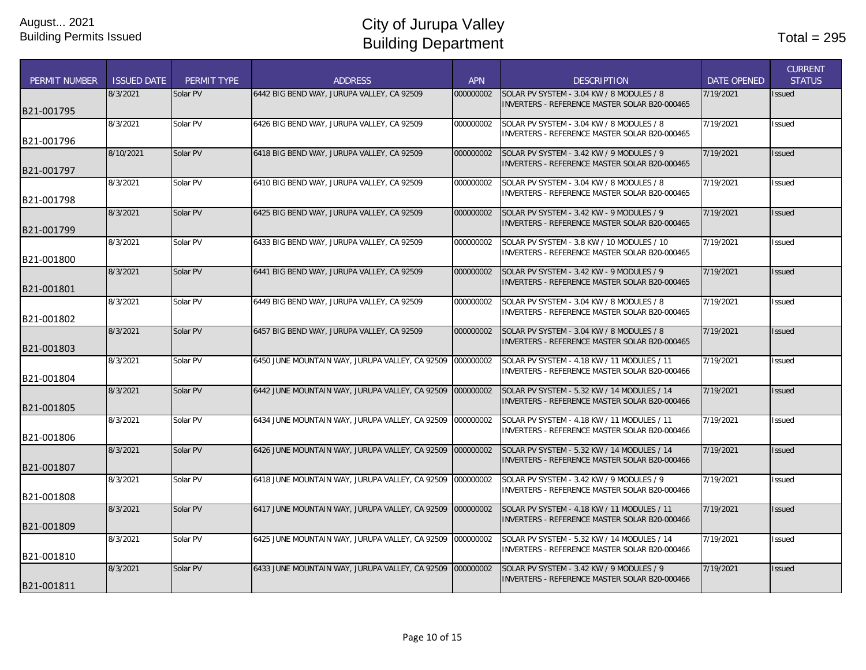| <b>PERMIT NUMBER</b> | <b>ISSUED DATE</b> | PERMIT TYPE | <b>ADDRESS</b>                                  | <b>APN</b> | <b>DESCRIPTION</b>                                                                                | <b>DATE OPENED</b> | <b>CURRENT</b><br><b>STATUS</b> |
|----------------------|--------------------|-------------|-------------------------------------------------|------------|---------------------------------------------------------------------------------------------------|--------------------|---------------------------------|
| B21-001795           | 8/3/2021           | Solar PV    | 6442 BIG BEND WAY, JURUPA VALLEY, CA 92509      | 000000002  | SOLAR PV SYSTEM - 3.04 KW / 8 MODULES / 8<br>INVERTERS - REFERENCE MASTER SOLAR B20-000465        | 7/19/2021          | <b>Issued</b>                   |
| B21-001796           | 8/3/2021           | Solar PV    | 6426 BIG BEND WAY, JURUPA VALLEY, CA 92509      | 000000002  | SOLAR PV SYSTEM - 3.04 KW / 8 MODULES / 8<br><b>INVERTERS - REFERENCE MASTER SOLAR B20-000465</b> | 7/19/2021          | <b>Issued</b>                   |
| B21-001797           | 8/10/2021          | Solar PV    | 6418 BIG BEND WAY, JURUPA VALLEY, CA 92509      | 000000002  | SOLAR PV SYSTEM - 3.42 KW / 9 MODULES / 9<br>INVERTERS - REFERENCE MASTER SOLAR B20-000465        | 7/19/2021          | <b>Issued</b>                   |
| B21-001798           | 8/3/2021           | Solar PV    | 6410 BIG BEND WAY, JURUPA VALLEY, CA 92509      | 000000002  | SOLAR PV SYSTEM - 3.04 KW / 8 MODULES / 8<br>INVERTERS - REFERENCE MASTER SOLAR B20-000465        | 7/19/2021          | <b>Issued</b>                   |
| B21-001799           | 8/3/2021           | Solar PV    | 6425 BIG BEND WAY, JURUPA VALLEY, CA 92509      | 000000002  | SOLAR PV SYSTEM - 3.42 KW - 9 MODULES / 9<br>INVERTERS - REFERENCE MASTER SOLAR B20-000465        | 7/19/2021          | <b>Issued</b>                   |
| B21-001800           | 8/3/2021           | Solar PV    | 6433 BIG BEND WAY, JURUPA VALLEY, CA 92509      | 000000002  | SOLAR PV SYSTEM - 3.8 KW / 10 MODULES / 10<br>INVERTERS - REFERENCE MASTER SOLAR B20-000465       | 7/19/2021          | <b>Issued</b>                   |
| B21-001801           | 8/3/2021           | Solar PV    | 6441 BIG BEND WAY, JURUPA VALLEY, CA 92509      | 000000002  | SOLAR PV SYSTEM - 3.42 KW - 9 MODULES / 9<br>INVERTERS - REFERENCE MASTER SOLAR B20-000465        | 7/19/2021          | <b>Issued</b>                   |
| B21-001802           | 8/3/2021           | Solar PV    | 6449 BIG BEND WAY, JURUPA VALLEY, CA 92509      | 000000002  | SOLAR PV SYSTEM - 3.04 KW / 8 MODULES / 8<br>INVERTERS - REFERENCE MASTER SOLAR B20-000465        | 7/19/2021          | <b>Issued</b>                   |
| B21-001803           | 8/3/2021           | Solar PV    | 6457 BIG BEND WAY, JURUPA VALLEY, CA 92509      | 000000002  | SOLAR PV SYSTEM - 3.04 KW / 8 MODULES / 8<br>INVERTERS - REFERENCE MASTER SOLAR B20-000465        | 7/19/2021          | <b>Issued</b>                   |
| B21-001804           | 8/3/2021           | Solar PV    | 6450 JUNE MOUNTAIN WAY, JURUPA VALLEY, CA 92509 | 000000002  | SOLAR PV SYSTEM - 4.18 KW / 11 MODULES / 11<br>INVERTERS - REFERENCE MASTER SOLAR B20-000466      | 7/19/2021          | <b>Issued</b>                   |
| B21-001805           | 8/3/2021           | Solar PV    | 6442 JUNE MOUNTAIN WAY, JURUPA VALLEY, CA 92509 | 000000002  | SOLAR PV SYSTEM - 5.32 KW / 14 MODULES / 14<br>INVERTERS - REFERENCE MASTER SOLAR B20-000466      | 7/19/2021          | <b>Issued</b>                   |
| B21-001806           | 8/3/2021           | Solar PV    | 6434 JUNE MOUNTAIN WAY, JURUPA VALLEY, CA 92509 | 000000002  | SOLAR PV SYSTEM - 4.18 KW / 11 MODULES / 11<br>INVERTERS - REFERENCE MASTER SOLAR B20-000466      | 7/19/2021          | Issued                          |
| B21-001807           | 8/3/2021           | Solar PV    | 6426 JUNE MOUNTAIN WAY, JURUPA VALLEY, CA 92509 | 000000002  | SOLAR PV SYSTEM - 5.32 KW / 14 MODULES / 14<br>INVERTERS - REFERENCE MASTER SOLAR B20-000466      | 7/19/2021          | <b>Issued</b>                   |
| B21-001808           | 8/3/2021           | Solar PV    | 6418 JUNE MOUNTAIN WAY, JURUPA VALLEY, CA 92509 | 000000002  | SOLAR PV SYSTEM - 3.42 KW / 9 MODULES / 9<br>INVERTERS - REFERENCE MASTER SOLAR B20-000466        | 7/19/2021          | <b>Issued</b>                   |
| B21-001809           | 8/3/2021           | Solar PV    | 6417 JUNE MOUNTAIN WAY, JURUPA VALLEY, CA 92509 | 000000002  | SOLAR PV SYSTEM - 4.18 KW / 11 MODULES / 11<br>INVERTERS - REFERENCE MASTER SOLAR B20-000466      | 7/19/2021          | <b>Issued</b>                   |
| B21-001810           | 8/3/2021           | Solar PV    | 6425 JUNE MOUNTAIN WAY, JURUPA VALLEY, CA 92509 | 000000002  | SOLAR PV SYSTEM - 5.32 KW / 14 MODULES / 14<br>INVERTERS - REFERENCE MASTER SOLAR B20-000466      | 7/19/2021          | <b>Issued</b>                   |
| B21-001811           | 8/3/2021           | Solar PV    | 6433 JUNE MOUNTAIN WAY, JURUPA VALLEY, CA 92509 | 000000002  | SOLAR PV SYSTEM - 3.42 KW / 9 MODULES / 9<br><b>INVERTERS - REFERENCE MASTER SOLAR B20-000466</b> | 7/19/2021          | <b>Issued</b>                   |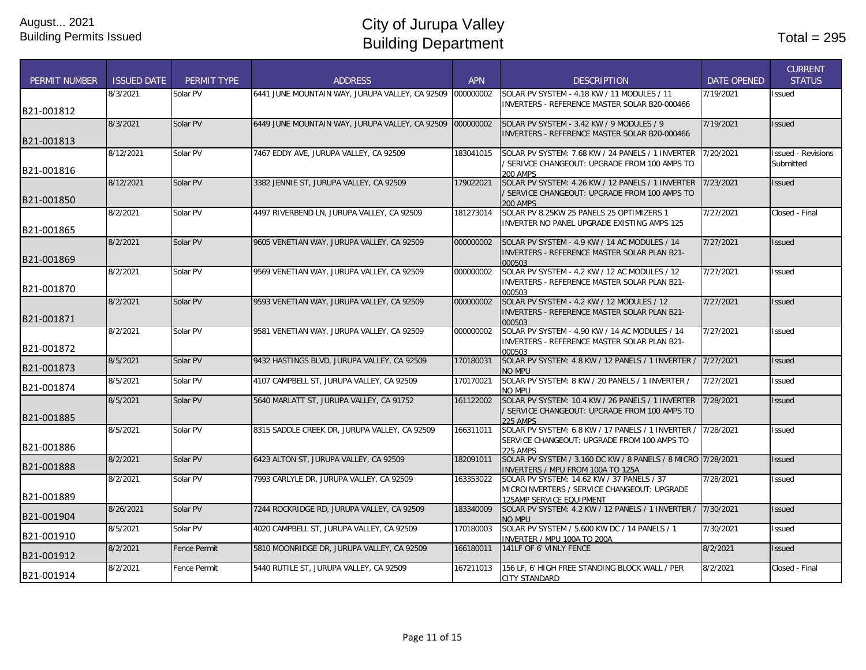| <b>PERMIT NUMBER</b> | <b>ISSUED DATE</b> | PERMIT TYPE         | <b>ADDRESS</b>                                  | <b>APN</b> | <b>DESCRIPTION</b>                                                                                 | <b>DATE OPENED</b> | <b>CURRENT</b><br><b>STATUS</b> |
|----------------------|--------------------|---------------------|-------------------------------------------------|------------|----------------------------------------------------------------------------------------------------|--------------------|---------------------------------|
|                      | 8/3/2021           | Solar PV            | 6441 JUNE MOUNTAIN WAY, JURUPA VALLEY, CA 92509 | 000000002  | SOLAR PV SYSTEM - 4.18 KW / 11 MODULES / 11                                                        | 7/19/2021          | <b>Issued</b>                   |
| B21-001812           |                    |                     |                                                 |            | <b>INVERTERS - REFERENCE MASTER SOLAR B20-000466</b>                                               |                    |                                 |
|                      | 8/3/2021           | Solar PV            | 6449 JUNE MOUNTAIN WAY, JURUPA VALLEY, CA 92509 | 000000002  | SOLAR PV SYSTEM - 3.42 KW / 9 MODULES / 9                                                          | 7/19/2021          | <b>Issued</b>                   |
| B21-001813           |                    |                     |                                                 |            | INVERTERS - REFERENCE MASTER SOLAR B20-000466                                                      |                    |                                 |
|                      | 8/12/2021          | Solar PV            | 7467 EDDY AVE, JURUPA VALLEY, CA 92509          | 183041015  | SOLAR PV SYSTEM: 7.68 KW / 24 PANELS / 1 INVERTER                                                  | 7/20/2021          | <b>Issued - Revisions</b>       |
|                      |                    |                     |                                                 |            | / SERIVCE CHANGEOUT: UPGRADE FROM 100 AMPS TO                                                      |                    | Submitted                       |
| B21-001816           |                    |                     |                                                 |            | 200 AMPS                                                                                           |                    |                                 |
|                      | 8/12/2021          | Solar PV            | 3382 JENNIE ST, JURUPA VALLEY, CA 92509         | 179022021  | SOLAR PV SYSTEM: 4.26 KW / 12 PANELS / 1 INVERTER<br>/ SERVICE CHANGEOUT: UPGRADE FROM 100 AMPS TO | 7/23/2021          | <b>Issued</b>                   |
| B21-001850           |                    |                     |                                                 |            | <b>200 AMPS</b>                                                                                    |                    |                                 |
|                      | 8/2/2021           | Solar PV            | 4497 RIVERBEND LN, JURUPA VALLEY, CA 92509      | 181273014  | SOLAR PV 8.25KW 25 PANELS 25 OPTIMIZERS 1                                                          | 7/27/2021          | Closed - Final                  |
| B21-001865           |                    |                     |                                                 |            | INVERTER NO PANEL UPGRADE EXISTING AMPS 125                                                        |                    |                                 |
|                      | 8/2/2021           | Solar PV            | 9605 VENETIAN WAY, JURUPA VALLEY, CA 92509      | 000000002  | SOLAR PV SYSTEM - 4.9 KW / 14 AC MODULES / 14                                                      | 7/27/2021          | <b>Issued</b>                   |
| B21-001869           |                    |                     |                                                 |            | INVERTERS - REFERENCE MASTER SOLAR PLAN B21-                                                       |                    |                                 |
|                      | 8/2/2021           | Solar PV            | 9569 VENETIAN WAY, JURUPA VALLEY, CA 92509      | 000000002  | 000503<br>SOLAR PV SYSTEM - 4.2 KW / 12 AC MODULES / 12                                            | 7/27/2021          | <b>Issued</b>                   |
|                      |                    |                     |                                                 |            | INVERTERS - REFERENCE MASTER SOLAR PLAN B21-                                                       |                    |                                 |
| B21-001870           |                    |                     |                                                 |            | 000503                                                                                             |                    |                                 |
|                      | 8/2/2021           | Solar PV            | 9593 VENETIAN WAY, JURUPA VALLEY, CA 92509      | 000000002  | SOLAR PV SYSTEM - 4.2 KW / 12 MODULES / 12                                                         | 7/27/2021          | <b>Issued</b>                   |
| B21-001871           |                    |                     |                                                 |            | INVERTERS - REFERENCE MASTER SOLAR PLAN B21-<br>000503                                             |                    |                                 |
|                      | 8/2/2021           | Solar PV            | 9581 VENETIAN WAY, JURUPA VALLEY, CA 92509      | 000000002  | SOLAR PV SYSTEM - 4.90 KW / 14 AC MODULES / 14                                                     | 7/27/2021          | <b>Issued</b>                   |
| B21-001872           |                    |                     |                                                 |            | INVERTERS - REFERENCE MASTER SOLAR PLAN B21-                                                       |                    |                                 |
|                      | 8/5/2021           | Solar PV            | 9432 HASTINGS BLVD, JURUPA VALLEY, CA 92509     | 170180031  | 000503<br>SOLAR PV SYSTEM: 4.8 KW / 12 PANELS / 1 INVERTER /                                       | 7/27/2021          | <b>Issued</b>                   |
| B21-001873           |                    |                     |                                                 |            | <b>NO MPU</b>                                                                                      |                    |                                 |
| B21-001874           | 8/5/2021           | Solar PV            | 4107 CAMPBELL ST. JURUPA VALLEY. CA 92509       | 170170021  | SOLAR PV SYSTEM: 8 KW / 20 PANELS / 1 INVERTER /                                                   | 7/27/2021          | <b>Issued</b>                   |
|                      | 8/5/2021           | Solar PV            | 5640 MARLATT ST. JURUPA VALLEY. CA 91752        | 161122002  | no mpu<br>SOLAR PV SYSTEM: 10.4 KW / 26 PANELS / 1 INVERTER                                        | 7/28/2021          | <b>Issued</b>                   |
|                      |                    |                     |                                                 |            | / SERVICE CHANGEOUT: UPGRADE FROM 100 AMPS TO                                                      |                    |                                 |
| B21-001885           |                    |                     |                                                 |            | <b>225 AMPS</b>                                                                                    |                    |                                 |
|                      | 8/5/2021           | Solar PV            | 8315 SADDLE CREEK DR, JURUPA VALLEY, CA 92509   | 166311011  | SOLAR PV SYSTEM: 6.8 KW / 17 PANELS / 1 INVERTER /<br>SERVICE CHANGEOUT: UPGRADE FROM 100 AMPS TO  | 7/28/2021          | <b>Issued</b>                   |
| B21-001886           |                    |                     |                                                 |            | <b>225 AMPS</b>                                                                                    |                    |                                 |
| B21-001888           | 8/2/2021           | Solar PV            | 6423 ALTON ST, JURUPA VALLEY, CA 92509          | 182091011  | SOLAR PV SYSTEM / 3.160 DC KW / 8 PANELS / 8 MICRO 7/28/2021                                       |                    | <b>Issued</b>                   |
|                      | 8/2/2021           | Solar PV            | 7993 CARLYLE DR, JURUPA VALLEY, CA 92509        | 163353022  | <b>INVERTERS / MPU FROM 100A TO 125A</b><br>SOLAR PV SYSTEM: 14.62 KW / 37 PANELS / 37             | 7/28/2021          | <b>Issued</b>                   |
|                      |                    |                     |                                                 |            | MICROINVERTERS / SERVICE CHANGEOUT: UPGRADE                                                        |                    |                                 |
| B21-001889           |                    |                     |                                                 |            | 125AMP SERVICE EOUIPMENT                                                                           |                    |                                 |
| B21-001904           | 8/26/2021          | Solar PV            | 7244 ROCKRIDGE RD, JURUPA VALLEY, CA 92509      | 183340009  | SOLAR PV SYSTEM: 4.2 KW / 12 PANELS / 1 INVERTER /<br>NO MPU                                       | 7/30/2021          | <b>Issued</b>                   |
|                      | 8/5/2021           | Solar PV            | 4020 CAMPBELL ST, JURUPA VALLEY, CA 92509       | 170180003  | SOLAR PV SYSTEM / 5.600 KW DC / 14 PANELS / 1                                                      | 7/30/2021          | <b>Issued</b>                   |
| B21-001910           | 8/2/2021           | <b>Fence Permit</b> | 5810 MOONRIDGE DR, JURUPA VALLEY, CA 92509      | 166180011  | INVERTER / MPU 100A TO 200A<br>141LF OF 6' VINLY FENCE                                             | 8/2/2021           | <b>Issued</b>                   |
| B21-001912           |                    |                     |                                                 |            |                                                                                                    |                    |                                 |
|                      | 8/2/2021           | Fence Permit        | 5440 RUTILE ST. JURUPA VALLEY. CA 92509         | 167211013  | 156 LF, 6' HIGH FREE STANDING BLOCK WALL / PER                                                     | 8/2/2021           | Closed - Final                  |
| B21-001914           |                    |                     |                                                 |            | <b>CITY STANDARD</b>                                                                               |                    |                                 |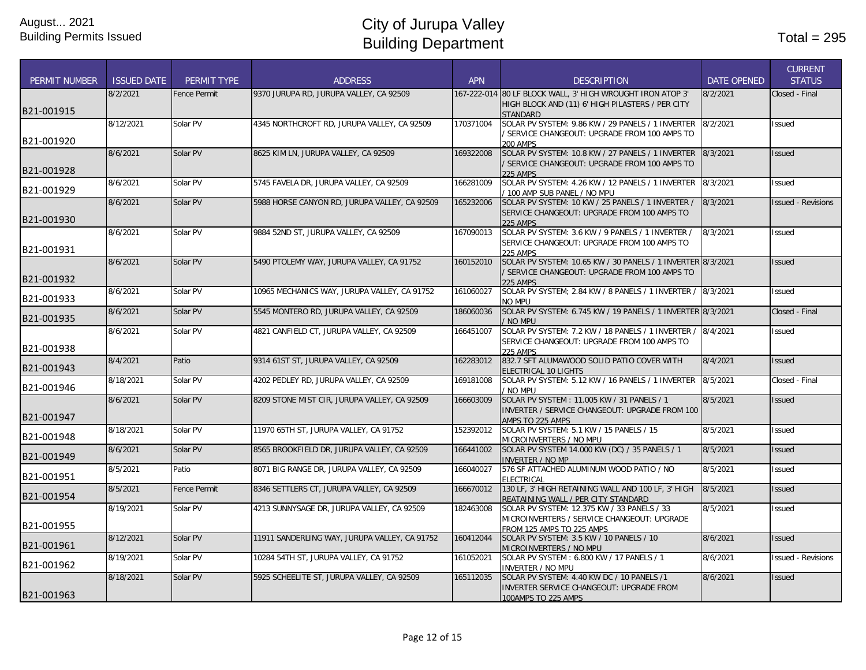| 80 LF BLOCK WALL, 3' HIGH WROUGHT IRON ATOP 3'<br>8/2/2021<br>Fence Permit<br>9370 JURUPA RD, JURUPA VALLEY, CA 92509<br>167-222-014<br>8/2/2021<br>Closed - Final<br>HIGH BLOCK AND (11) 6' HIGH PILASTERS / PER CITY<br>B21-001915<br><b>STANDARD</b><br>170371004<br>SOLAR PV SYSTEM: 9.86 KW / 29 PANELS / 1 INVERTER<br>8/2/2021<br>8/12/2021<br>Solar PV<br>4345 NORTHCROFT RD, JURUPA VALLEY, CA 92509<br>Issued<br>/ SERVICE CHANGEOUT: UPGRADE FROM 100 AMPS TO<br>B21-001920<br><b>200 AMPS</b><br>8/6/2021<br>8625 KIM LN, JURUPA VALLEY, CA 92509<br>SOLAR PV SYSTEM: 10.8 KW / 27 PANELS / 1 INVERTER<br>8/3/2021<br>Solar PV<br>169322008<br><b>Issued</b><br>/ SERVICE CHANGEOUT: UPGRADE FROM 100 AMPS TO<br><b>225 AMPS</b><br>Solar PV<br>5745 FAVELA DR, JURUPA VALLEY, CA 92509<br>SOLAR PV SYSTEM: 4.26 KW / 12 PANELS / 1 INVERTER<br>8/3/2021<br>8/6/2021<br>166281009<br><b>Issued</b><br>B21-001929<br>/ 100 AMP SUB PANEL / NO MPU<br>5988 HORSE CANYON RD, JURUPA VALLEY, CA 92509<br>165232006<br>SOLAR PV SYSTEM: 10 KW / 25 PANELS / 1 INVERTER /<br>8/6/2021<br>Solar PV<br>8/3/2021<br><b>Issued - Revisions</b><br>SERVICE CHANGEOUT: UPGRADE FROM 100 AMPS TO<br>B21-001930<br>225 AMPS<br>167090013<br>8/6/2021<br>Solar PV<br>9884 52ND ST, JURUPA VALLEY, CA 92509<br>SOLAR PV SYSTEM: 3.6 KW / 9 PANELS / 1 INVERTER /<br>8/3/2021<br>Issued<br>SERVICE CHANGEOUT: UPGRADE FROM 100 AMPS TO<br><b>225 AMPS</b><br>8/6/2021<br>Solar PV<br>5490 PTOLEMY WAY, JURUPA VALLEY, CA 91752<br>SOLAR PV SYSTEM: 10.65 KW / 30 PANELS / 1 INVERTER 8/3/2021<br>160152010<br><b>Issued</b><br>/ SERVICE CHANGEOUT: UPGRADE FROM 100 AMPS TO<br>B21-001932<br>225 AMPS<br>8/6/2021<br>Solar PV<br>10965 MECHANICS WAY, JURUPA VALLEY, CA 91752<br>161060027<br>SOLAR PV SYSTEM: 2.84 KW / 8 PANELS / 1 INVERTER / 8/3/2021<br><b>Issued</b><br>B21-001933<br>no mpu<br>SOLAR PV SYSTEM: 6.745 KW / 19 PANELS / 1 INVERTER 8/3/2021<br>8/6/2021<br>Solar PV<br>5545 MONTERO RD, JURUPA VALLEY, CA 92509<br>186060036<br>Closed - Final<br>B21-001935<br>NO MPU<br>8/6/2021<br>Solar PV<br>4821 CANFIELD CT, JURUPA VALLEY, CA 92509<br>166451007<br>SOLAR PV SYSTEM: 7.2 KW / 18 PANELS / 1 INVERTER /<br>8/4/2021<br><b>Issued</b><br>SERVICE CHANGEOUT: UPGRADE FROM 100 AMPS TO<br>B21-001938<br><b>225 AMPS</b><br>8/4/2021<br>9314 61ST ST, JURUPA VALLEY, CA 92509<br>162283012<br>832.7 SFT ALUMAWOOD SOLID PATIO COVER WITH<br>8/4/2021<br>Patio<br><b>Issued</b><br>ELECTRICAL 10 LIGHTS<br>8/18/2021<br>Solar PV<br>4202 PEDLEY RD, JURUPA VALLEY, CA 92509<br>169181008<br>SOLAR PV SYSTEM: 5.12 KW / 16 PANELS / 1 INVERTER<br>8/5/2021<br>Closed - Final<br>/ No mpu<br>8/6/2021<br>Solar PV<br>8209 STONE MIST CIR, JURUPA VALLEY, CA 92509<br>SOLAR PV SYSTEM: 11.005 KW / 31 PANELS / 1<br>8/5/2021<br>166603009<br><b>Issued</b><br>INVERTER / SERVICE CHANGEOUT: UPGRADE FROM 100<br>B21-001947<br>AMPS TO 225 AMPS<br>8/18/2021<br>Solar PV<br>11970 65TH ST, JURUPA VALLEY, CA 91752<br>152392012<br>SOLAR PV SYSTEM: 5.1 KW / 15 PANELS / 15<br>8/5/2021<br><b>Issued</b><br>B21-001948<br>MICROINVERTERS / NO MPU<br>8/6/2021<br>Solar PV<br>8565 BROOKFIELD DR, JURUPA VALLEY, CA 92509<br>166441002<br>SOLAR PV SYSTEM 14.000 KW (DC) / 35 PANELS / 1<br>8/5/2021<br><b>Issued</b><br>B21-001949<br><b>INVERTER / NO MP</b><br>576 SF ATTACHED ALUMINUM WOOD PATIO / NO<br>8/5/2021<br>Patio<br>8071 BIG RANGE DR, JURUPA VALLEY, CA 92509<br>166040027<br>8/5/2021<br>Issued<br><b>FLECTRICAL</b><br>8/5/2021<br>8/5/2021<br>Fence Permit<br>8346 SETTLERS CT, JURUPA VALLEY, CA 92509<br>166670012<br>130 LF, 3' HIGH RETAINING WALL AND 100 LF, 3' HIGH<br><b>Issued</b><br>B21-001954<br>REATAINING WALL / PER CITY STANDARD<br>8/5/2021<br>8/19/2021<br>Solar PV<br>4213 SUNNYSAGE DR, JURUPA VALLEY, CA 92509<br>182463008<br>SOLAR PV SYSTEM: 12.375 KW / 33 PANELS / 33<br>Issued<br>MICROINVERTERS / SERVICE CHANGEOUT: UPGRADE<br>B21-001955<br>FROM 125 AMPS TO 225 AMPS<br>8/12/2021<br>Solar PV<br>11911 SANDERLING WAY, JURUPA VALLEY, CA 91752<br>160412044<br>8/6/2021<br>SOLAR PV SYSTEM: 3.5 KW / 10 PANELS / 10<br><b>Issued</b><br>B21-001961<br>MICROINVERTERS / NO MPU<br>8/19/2021<br>Solar PV<br>10284 54TH ST, JURUPA VALLEY, CA 91752<br>161052021<br>SOLAR PV SYSTEM: 6.800 KW / 17 PANELS / 1<br>8/6/2021<br><b>Issued - Revisions</b><br>B21-001962<br><b>INVERTER / NO MPU</b><br>5925 SCHEELITE ST, JURUPA VALLEY, CA 92509<br>8/6/2021<br>8/18/2021<br>Solar PV<br>165112035<br>SOLAR PV SYSTEM: 4.40 KW DC / 10 PANELS /1<br><b>Issued</b><br>INVERTER SERVICE CHANGEOUT: UPGRADE FROM | <b>PERMIT NUMBER</b> | <b>ISSUED DATE</b> | PERMIT TYPE | <b>ADDRESS</b> | <b>APN</b> | <b>DESCRIPTION</b>  | <b>DATE OPENED</b> | <b>CURRENT</b><br><b>STATUS</b> |
|---------------------------------------------------------------------------------------------------------------------------------------------------------------------------------------------------------------------------------------------------------------------------------------------------------------------------------------------------------------------------------------------------------------------------------------------------------------------------------------------------------------------------------------------------------------------------------------------------------------------------------------------------------------------------------------------------------------------------------------------------------------------------------------------------------------------------------------------------------------------------------------------------------------------------------------------------------------------------------------------------------------------------------------------------------------------------------------------------------------------------------------------------------------------------------------------------------------------------------------------------------------------------------------------------------------------------------------------------------------------------------------------------------------------------------------------------------------------------------------------------------------------------------------------------------------------------------------------------------------------------------------------------------------------------------------------------------------------------------------------------------------------------------------------------------------------------------------------------------------------------------------------------------------------------------------------------------------------------------------------------------------------------------------------------------------------------------------------------------------------------------------------------------------------------------------------------------------------------------------------------------------------------------------------------------------------------------------------------------------------------------------------------------------------------------------------------------------------------------------------------------------------------------------------------------------------------------------------------------------------------------------------------------------------------------------------------------------------------------------------------------------------------------------------------------------------------------------------------------------------------------------------------------------------------------------------------------------------------------------------------------------------------------------------------------------------------------------------------------------------------------------------------------------------------------------------------------------------------------------------------------------------------------------------------------------------------------------------------------------------------------------------------------------------------------------------------------------------------------------------------------------------------------------------------------------------------------------------------------------------------------------------------------------------------------------------------------------------------------------------------------------------------------------------------------------------------------------------------------------------------------------------------------------------------------------------------------------------------------------------------------------------------------------------------------------------------------------------------------------------------------------------------------------------------------------------------------------------------------------------------------------------------------------------------------------------------------------------------------------------------------------------------------------------------------------------------------------------------------------------------------------------------------------------------------------------------------------------------------------------------------------------------------------------------|----------------------|--------------------|-------------|----------------|------------|---------------------|--------------------|---------------------------------|
|                                                                                                                                                                                                                                                                                                                                                                                                                                                                                                                                                                                                                                                                                                                                                                                                                                                                                                                                                                                                                                                                                                                                                                                                                                                                                                                                                                                                                                                                                                                                                                                                                                                                                                                                                                                                                                                                                                                                                                                                                                                                                                                                                                                                                                                                                                                                                                                                                                                                                                                                                                                                                                                                                                                                                                                                                                                                                                                                                                                                                                                                                                                                                                                                                                                                                                                                                                                                                                                                                                                                                                                                                                                                                                                                                                                                                                                                                                                                                                                                                                                                                                                                                                                                                                                                                                                                                                                                                                                                                                                                                                                                                                                                           |                      |                    |             |                |            |                     |                    |                                 |
|                                                                                                                                                                                                                                                                                                                                                                                                                                                                                                                                                                                                                                                                                                                                                                                                                                                                                                                                                                                                                                                                                                                                                                                                                                                                                                                                                                                                                                                                                                                                                                                                                                                                                                                                                                                                                                                                                                                                                                                                                                                                                                                                                                                                                                                                                                                                                                                                                                                                                                                                                                                                                                                                                                                                                                                                                                                                                                                                                                                                                                                                                                                                                                                                                                                                                                                                                                                                                                                                                                                                                                                                                                                                                                                                                                                                                                                                                                                                                                                                                                                                                                                                                                                                                                                                                                                                                                                                                                                                                                                                                                                                                                                                           |                      |                    |             |                |            |                     |                    |                                 |
|                                                                                                                                                                                                                                                                                                                                                                                                                                                                                                                                                                                                                                                                                                                                                                                                                                                                                                                                                                                                                                                                                                                                                                                                                                                                                                                                                                                                                                                                                                                                                                                                                                                                                                                                                                                                                                                                                                                                                                                                                                                                                                                                                                                                                                                                                                                                                                                                                                                                                                                                                                                                                                                                                                                                                                                                                                                                                                                                                                                                                                                                                                                                                                                                                                                                                                                                                                                                                                                                                                                                                                                                                                                                                                                                                                                                                                                                                                                                                                                                                                                                                                                                                                                                                                                                                                                                                                                                                                                                                                                                                                                                                                                                           |                      |                    |             |                |            |                     |                    |                                 |
|                                                                                                                                                                                                                                                                                                                                                                                                                                                                                                                                                                                                                                                                                                                                                                                                                                                                                                                                                                                                                                                                                                                                                                                                                                                                                                                                                                                                                                                                                                                                                                                                                                                                                                                                                                                                                                                                                                                                                                                                                                                                                                                                                                                                                                                                                                                                                                                                                                                                                                                                                                                                                                                                                                                                                                                                                                                                                                                                                                                                                                                                                                                                                                                                                                                                                                                                                                                                                                                                                                                                                                                                                                                                                                                                                                                                                                                                                                                                                                                                                                                                                                                                                                                                                                                                                                                                                                                                                                                                                                                                                                                                                                                                           |                      |                    |             |                |            |                     |                    |                                 |
|                                                                                                                                                                                                                                                                                                                                                                                                                                                                                                                                                                                                                                                                                                                                                                                                                                                                                                                                                                                                                                                                                                                                                                                                                                                                                                                                                                                                                                                                                                                                                                                                                                                                                                                                                                                                                                                                                                                                                                                                                                                                                                                                                                                                                                                                                                                                                                                                                                                                                                                                                                                                                                                                                                                                                                                                                                                                                                                                                                                                                                                                                                                                                                                                                                                                                                                                                                                                                                                                                                                                                                                                                                                                                                                                                                                                                                                                                                                                                                                                                                                                                                                                                                                                                                                                                                                                                                                                                                                                                                                                                                                                                                                                           |                      |                    |             |                |            |                     |                    |                                 |
|                                                                                                                                                                                                                                                                                                                                                                                                                                                                                                                                                                                                                                                                                                                                                                                                                                                                                                                                                                                                                                                                                                                                                                                                                                                                                                                                                                                                                                                                                                                                                                                                                                                                                                                                                                                                                                                                                                                                                                                                                                                                                                                                                                                                                                                                                                                                                                                                                                                                                                                                                                                                                                                                                                                                                                                                                                                                                                                                                                                                                                                                                                                                                                                                                                                                                                                                                                                                                                                                                                                                                                                                                                                                                                                                                                                                                                                                                                                                                                                                                                                                                                                                                                                                                                                                                                                                                                                                                                                                                                                                                                                                                                                                           |                      |                    |             |                |            |                     |                    |                                 |
|                                                                                                                                                                                                                                                                                                                                                                                                                                                                                                                                                                                                                                                                                                                                                                                                                                                                                                                                                                                                                                                                                                                                                                                                                                                                                                                                                                                                                                                                                                                                                                                                                                                                                                                                                                                                                                                                                                                                                                                                                                                                                                                                                                                                                                                                                                                                                                                                                                                                                                                                                                                                                                                                                                                                                                                                                                                                                                                                                                                                                                                                                                                                                                                                                                                                                                                                                                                                                                                                                                                                                                                                                                                                                                                                                                                                                                                                                                                                                                                                                                                                                                                                                                                                                                                                                                                                                                                                                                                                                                                                                                                                                                                                           |                      |                    |             |                |            |                     |                    |                                 |
|                                                                                                                                                                                                                                                                                                                                                                                                                                                                                                                                                                                                                                                                                                                                                                                                                                                                                                                                                                                                                                                                                                                                                                                                                                                                                                                                                                                                                                                                                                                                                                                                                                                                                                                                                                                                                                                                                                                                                                                                                                                                                                                                                                                                                                                                                                                                                                                                                                                                                                                                                                                                                                                                                                                                                                                                                                                                                                                                                                                                                                                                                                                                                                                                                                                                                                                                                                                                                                                                                                                                                                                                                                                                                                                                                                                                                                                                                                                                                                                                                                                                                                                                                                                                                                                                                                                                                                                                                                                                                                                                                                                                                                                                           | B21-001928           |                    |             |                |            |                     |                    |                                 |
|                                                                                                                                                                                                                                                                                                                                                                                                                                                                                                                                                                                                                                                                                                                                                                                                                                                                                                                                                                                                                                                                                                                                                                                                                                                                                                                                                                                                                                                                                                                                                                                                                                                                                                                                                                                                                                                                                                                                                                                                                                                                                                                                                                                                                                                                                                                                                                                                                                                                                                                                                                                                                                                                                                                                                                                                                                                                                                                                                                                                                                                                                                                                                                                                                                                                                                                                                                                                                                                                                                                                                                                                                                                                                                                                                                                                                                                                                                                                                                                                                                                                                                                                                                                                                                                                                                                                                                                                                                                                                                                                                                                                                                                                           |                      |                    |             |                |            |                     |                    |                                 |
|                                                                                                                                                                                                                                                                                                                                                                                                                                                                                                                                                                                                                                                                                                                                                                                                                                                                                                                                                                                                                                                                                                                                                                                                                                                                                                                                                                                                                                                                                                                                                                                                                                                                                                                                                                                                                                                                                                                                                                                                                                                                                                                                                                                                                                                                                                                                                                                                                                                                                                                                                                                                                                                                                                                                                                                                                                                                                                                                                                                                                                                                                                                                                                                                                                                                                                                                                                                                                                                                                                                                                                                                                                                                                                                                                                                                                                                                                                                                                                                                                                                                                                                                                                                                                                                                                                                                                                                                                                                                                                                                                                                                                                                                           |                      |                    |             |                |            |                     |                    |                                 |
|                                                                                                                                                                                                                                                                                                                                                                                                                                                                                                                                                                                                                                                                                                                                                                                                                                                                                                                                                                                                                                                                                                                                                                                                                                                                                                                                                                                                                                                                                                                                                                                                                                                                                                                                                                                                                                                                                                                                                                                                                                                                                                                                                                                                                                                                                                                                                                                                                                                                                                                                                                                                                                                                                                                                                                                                                                                                                                                                                                                                                                                                                                                                                                                                                                                                                                                                                                                                                                                                                                                                                                                                                                                                                                                                                                                                                                                                                                                                                                                                                                                                                                                                                                                                                                                                                                                                                                                                                                                                                                                                                                                                                                                                           |                      |                    |             |                |            |                     |                    |                                 |
|                                                                                                                                                                                                                                                                                                                                                                                                                                                                                                                                                                                                                                                                                                                                                                                                                                                                                                                                                                                                                                                                                                                                                                                                                                                                                                                                                                                                                                                                                                                                                                                                                                                                                                                                                                                                                                                                                                                                                                                                                                                                                                                                                                                                                                                                                                                                                                                                                                                                                                                                                                                                                                                                                                                                                                                                                                                                                                                                                                                                                                                                                                                                                                                                                                                                                                                                                                                                                                                                                                                                                                                                                                                                                                                                                                                                                                                                                                                                                                                                                                                                                                                                                                                                                                                                                                                                                                                                                                                                                                                                                                                                                                                                           |                      |                    |             |                |            |                     |                    |                                 |
|                                                                                                                                                                                                                                                                                                                                                                                                                                                                                                                                                                                                                                                                                                                                                                                                                                                                                                                                                                                                                                                                                                                                                                                                                                                                                                                                                                                                                                                                                                                                                                                                                                                                                                                                                                                                                                                                                                                                                                                                                                                                                                                                                                                                                                                                                                                                                                                                                                                                                                                                                                                                                                                                                                                                                                                                                                                                                                                                                                                                                                                                                                                                                                                                                                                                                                                                                                                                                                                                                                                                                                                                                                                                                                                                                                                                                                                                                                                                                                                                                                                                                                                                                                                                                                                                                                                                                                                                                                                                                                                                                                                                                                                                           |                      |                    |             |                |            |                     |                    |                                 |
|                                                                                                                                                                                                                                                                                                                                                                                                                                                                                                                                                                                                                                                                                                                                                                                                                                                                                                                                                                                                                                                                                                                                                                                                                                                                                                                                                                                                                                                                                                                                                                                                                                                                                                                                                                                                                                                                                                                                                                                                                                                                                                                                                                                                                                                                                                                                                                                                                                                                                                                                                                                                                                                                                                                                                                                                                                                                                                                                                                                                                                                                                                                                                                                                                                                                                                                                                                                                                                                                                                                                                                                                                                                                                                                                                                                                                                                                                                                                                                                                                                                                                                                                                                                                                                                                                                                                                                                                                                                                                                                                                                                                                                                                           |                      |                    |             |                |            |                     |                    |                                 |
|                                                                                                                                                                                                                                                                                                                                                                                                                                                                                                                                                                                                                                                                                                                                                                                                                                                                                                                                                                                                                                                                                                                                                                                                                                                                                                                                                                                                                                                                                                                                                                                                                                                                                                                                                                                                                                                                                                                                                                                                                                                                                                                                                                                                                                                                                                                                                                                                                                                                                                                                                                                                                                                                                                                                                                                                                                                                                                                                                                                                                                                                                                                                                                                                                                                                                                                                                                                                                                                                                                                                                                                                                                                                                                                                                                                                                                                                                                                                                                                                                                                                                                                                                                                                                                                                                                                                                                                                                                                                                                                                                                                                                                                                           | B21-001931           |                    |             |                |            |                     |                    |                                 |
|                                                                                                                                                                                                                                                                                                                                                                                                                                                                                                                                                                                                                                                                                                                                                                                                                                                                                                                                                                                                                                                                                                                                                                                                                                                                                                                                                                                                                                                                                                                                                                                                                                                                                                                                                                                                                                                                                                                                                                                                                                                                                                                                                                                                                                                                                                                                                                                                                                                                                                                                                                                                                                                                                                                                                                                                                                                                                                                                                                                                                                                                                                                                                                                                                                                                                                                                                                                                                                                                                                                                                                                                                                                                                                                                                                                                                                                                                                                                                                                                                                                                                                                                                                                                                                                                                                                                                                                                                                                                                                                                                                                                                                                                           |                      |                    |             |                |            |                     |                    |                                 |
|                                                                                                                                                                                                                                                                                                                                                                                                                                                                                                                                                                                                                                                                                                                                                                                                                                                                                                                                                                                                                                                                                                                                                                                                                                                                                                                                                                                                                                                                                                                                                                                                                                                                                                                                                                                                                                                                                                                                                                                                                                                                                                                                                                                                                                                                                                                                                                                                                                                                                                                                                                                                                                                                                                                                                                                                                                                                                                                                                                                                                                                                                                                                                                                                                                                                                                                                                                                                                                                                                                                                                                                                                                                                                                                                                                                                                                                                                                                                                                                                                                                                                                                                                                                                                                                                                                                                                                                                                                                                                                                                                                                                                                                                           |                      |                    |             |                |            |                     |                    |                                 |
|                                                                                                                                                                                                                                                                                                                                                                                                                                                                                                                                                                                                                                                                                                                                                                                                                                                                                                                                                                                                                                                                                                                                                                                                                                                                                                                                                                                                                                                                                                                                                                                                                                                                                                                                                                                                                                                                                                                                                                                                                                                                                                                                                                                                                                                                                                                                                                                                                                                                                                                                                                                                                                                                                                                                                                                                                                                                                                                                                                                                                                                                                                                                                                                                                                                                                                                                                                                                                                                                                                                                                                                                                                                                                                                                                                                                                                                                                                                                                                                                                                                                                                                                                                                                                                                                                                                                                                                                                                                                                                                                                                                                                                                                           |                      |                    |             |                |            |                     |                    |                                 |
|                                                                                                                                                                                                                                                                                                                                                                                                                                                                                                                                                                                                                                                                                                                                                                                                                                                                                                                                                                                                                                                                                                                                                                                                                                                                                                                                                                                                                                                                                                                                                                                                                                                                                                                                                                                                                                                                                                                                                                                                                                                                                                                                                                                                                                                                                                                                                                                                                                                                                                                                                                                                                                                                                                                                                                                                                                                                                                                                                                                                                                                                                                                                                                                                                                                                                                                                                                                                                                                                                                                                                                                                                                                                                                                                                                                                                                                                                                                                                                                                                                                                                                                                                                                                                                                                                                                                                                                                                                                                                                                                                                                                                                                                           |                      |                    |             |                |            |                     |                    |                                 |
|                                                                                                                                                                                                                                                                                                                                                                                                                                                                                                                                                                                                                                                                                                                                                                                                                                                                                                                                                                                                                                                                                                                                                                                                                                                                                                                                                                                                                                                                                                                                                                                                                                                                                                                                                                                                                                                                                                                                                                                                                                                                                                                                                                                                                                                                                                                                                                                                                                                                                                                                                                                                                                                                                                                                                                                                                                                                                                                                                                                                                                                                                                                                                                                                                                                                                                                                                                                                                                                                                                                                                                                                                                                                                                                                                                                                                                                                                                                                                                                                                                                                                                                                                                                                                                                                                                                                                                                                                                                                                                                                                                                                                                                                           |                      |                    |             |                |            |                     |                    |                                 |
|                                                                                                                                                                                                                                                                                                                                                                                                                                                                                                                                                                                                                                                                                                                                                                                                                                                                                                                                                                                                                                                                                                                                                                                                                                                                                                                                                                                                                                                                                                                                                                                                                                                                                                                                                                                                                                                                                                                                                                                                                                                                                                                                                                                                                                                                                                                                                                                                                                                                                                                                                                                                                                                                                                                                                                                                                                                                                                                                                                                                                                                                                                                                                                                                                                                                                                                                                                                                                                                                                                                                                                                                                                                                                                                                                                                                                                                                                                                                                                                                                                                                                                                                                                                                                                                                                                                                                                                                                                                                                                                                                                                                                                                                           |                      |                    |             |                |            |                     |                    |                                 |
|                                                                                                                                                                                                                                                                                                                                                                                                                                                                                                                                                                                                                                                                                                                                                                                                                                                                                                                                                                                                                                                                                                                                                                                                                                                                                                                                                                                                                                                                                                                                                                                                                                                                                                                                                                                                                                                                                                                                                                                                                                                                                                                                                                                                                                                                                                                                                                                                                                                                                                                                                                                                                                                                                                                                                                                                                                                                                                                                                                                                                                                                                                                                                                                                                                                                                                                                                                                                                                                                                                                                                                                                                                                                                                                                                                                                                                                                                                                                                                                                                                                                                                                                                                                                                                                                                                                                                                                                                                                                                                                                                                                                                                                                           |                      |                    |             |                |            |                     |                    |                                 |
|                                                                                                                                                                                                                                                                                                                                                                                                                                                                                                                                                                                                                                                                                                                                                                                                                                                                                                                                                                                                                                                                                                                                                                                                                                                                                                                                                                                                                                                                                                                                                                                                                                                                                                                                                                                                                                                                                                                                                                                                                                                                                                                                                                                                                                                                                                                                                                                                                                                                                                                                                                                                                                                                                                                                                                                                                                                                                                                                                                                                                                                                                                                                                                                                                                                                                                                                                                                                                                                                                                                                                                                                                                                                                                                                                                                                                                                                                                                                                                                                                                                                                                                                                                                                                                                                                                                                                                                                                                                                                                                                                                                                                                                                           |                      |                    |             |                |            |                     |                    |                                 |
|                                                                                                                                                                                                                                                                                                                                                                                                                                                                                                                                                                                                                                                                                                                                                                                                                                                                                                                                                                                                                                                                                                                                                                                                                                                                                                                                                                                                                                                                                                                                                                                                                                                                                                                                                                                                                                                                                                                                                                                                                                                                                                                                                                                                                                                                                                                                                                                                                                                                                                                                                                                                                                                                                                                                                                                                                                                                                                                                                                                                                                                                                                                                                                                                                                                                                                                                                                                                                                                                                                                                                                                                                                                                                                                                                                                                                                                                                                                                                                                                                                                                                                                                                                                                                                                                                                                                                                                                                                                                                                                                                                                                                                                                           |                      |                    |             |                |            |                     |                    |                                 |
|                                                                                                                                                                                                                                                                                                                                                                                                                                                                                                                                                                                                                                                                                                                                                                                                                                                                                                                                                                                                                                                                                                                                                                                                                                                                                                                                                                                                                                                                                                                                                                                                                                                                                                                                                                                                                                                                                                                                                                                                                                                                                                                                                                                                                                                                                                                                                                                                                                                                                                                                                                                                                                                                                                                                                                                                                                                                                                                                                                                                                                                                                                                                                                                                                                                                                                                                                                                                                                                                                                                                                                                                                                                                                                                                                                                                                                                                                                                                                                                                                                                                                                                                                                                                                                                                                                                                                                                                                                                                                                                                                                                                                                                                           |                      |                    |             |                |            |                     |                    |                                 |
|                                                                                                                                                                                                                                                                                                                                                                                                                                                                                                                                                                                                                                                                                                                                                                                                                                                                                                                                                                                                                                                                                                                                                                                                                                                                                                                                                                                                                                                                                                                                                                                                                                                                                                                                                                                                                                                                                                                                                                                                                                                                                                                                                                                                                                                                                                                                                                                                                                                                                                                                                                                                                                                                                                                                                                                                                                                                                                                                                                                                                                                                                                                                                                                                                                                                                                                                                                                                                                                                                                                                                                                                                                                                                                                                                                                                                                                                                                                                                                                                                                                                                                                                                                                                                                                                                                                                                                                                                                                                                                                                                                                                                                                                           | B21-001943           |                    |             |                |            |                     |                    |                                 |
|                                                                                                                                                                                                                                                                                                                                                                                                                                                                                                                                                                                                                                                                                                                                                                                                                                                                                                                                                                                                                                                                                                                                                                                                                                                                                                                                                                                                                                                                                                                                                                                                                                                                                                                                                                                                                                                                                                                                                                                                                                                                                                                                                                                                                                                                                                                                                                                                                                                                                                                                                                                                                                                                                                                                                                                                                                                                                                                                                                                                                                                                                                                                                                                                                                                                                                                                                                                                                                                                                                                                                                                                                                                                                                                                                                                                                                                                                                                                                                                                                                                                                                                                                                                                                                                                                                                                                                                                                                                                                                                                                                                                                                                                           |                      |                    |             |                |            |                     |                    |                                 |
|                                                                                                                                                                                                                                                                                                                                                                                                                                                                                                                                                                                                                                                                                                                                                                                                                                                                                                                                                                                                                                                                                                                                                                                                                                                                                                                                                                                                                                                                                                                                                                                                                                                                                                                                                                                                                                                                                                                                                                                                                                                                                                                                                                                                                                                                                                                                                                                                                                                                                                                                                                                                                                                                                                                                                                                                                                                                                                                                                                                                                                                                                                                                                                                                                                                                                                                                                                                                                                                                                                                                                                                                                                                                                                                                                                                                                                                                                                                                                                                                                                                                                                                                                                                                                                                                                                                                                                                                                                                                                                                                                                                                                                                                           | B21-001946           |                    |             |                |            |                     |                    |                                 |
|                                                                                                                                                                                                                                                                                                                                                                                                                                                                                                                                                                                                                                                                                                                                                                                                                                                                                                                                                                                                                                                                                                                                                                                                                                                                                                                                                                                                                                                                                                                                                                                                                                                                                                                                                                                                                                                                                                                                                                                                                                                                                                                                                                                                                                                                                                                                                                                                                                                                                                                                                                                                                                                                                                                                                                                                                                                                                                                                                                                                                                                                                                                                                                                                                                                                                                                                                                                                                                                                                                                                                                                                                                                                                                                                                                                                                                                                                                                                                                                                                                                                                                                                                                                                                                                                                                                                                                                                                                                                                                                                                                                                                                                                           |                      |                    |             |                |            |                     |                    |                                 |
|                                                                                                                                                                                                                                                                                                                                                                                                                                                                                                                                                                                                                                                                                                                                                                                                                                                                                                                                                                                                                                                                                                                                                                                                                                                                                                                                                                                                                                                                                                                                                                                                                                                                                                                                                                                                                                                                                                                                                                                                                                                                                                                                                                                                                                                                                                                                                                                                                                                                                                                                                                                                                                                                                                                                                                                                                                                                                                                                                                                                                                                                                                                                                                                                                                                                                                                                                                                                                                                                                                                                                                                                                                                                                                                                                                                                                                                                                                                                                                                                                                                                                                                                                                                                                                                                                                                                                                                                                                                                                                                                                                                                                                                                           |                      |                    |             |                |            |                     |                    |                                 |
|                                                                                                                                                                                                                                                                                                                                                                                                                                                                                                                                                                                                                                                                                                                                                                                                                                                                                                                                                                                                                                                                                                                                                                                                                                                                                                                                                                                                                                                                                                                                                                                                                                                                                                                                                                                                                                                                                                                                                                                                                                                                                                                                                                                                                                                                                                                                                                                                                                                                                                                                                                                                                                                                                                                                                                                                                                                                                                                                                                                                                                                                                                                                                                                                                                                                                                                                                                                                                                                                                                                                                                                                                                                                                                                                                                                                                                                                                                                                                                                                                                                                                                                                                                                                                                                                                                                                                                                                                                                                                                                                                                                                                                                                           |                      |                    |             |                |            |                     |                    |                                 |
|                                                                                                                                                                                                                                                                                                                                                                                                                                                                                                                                                                                                                                                                                                                                                                                                                                                                                                                                                                                                                                                                                                                                                                                                                                                                                                                                                                                                                                                                                                                                                                                                                                                                                                                                                                                                                                                                                                                                                                                                                                                                                                                                                                                                                                                                                                                                                                                                                                                                                                                                                                                                                                                                                                                                                                                                                                                                                                                                                                                                                                                                                                                                                                                                                                                                                                                                                                                                                                                                                                                                                                                                                                                                                                                                                                                                                                                                                                                                                                                                                                                                                                                                                                                                                                                                                                                                                                                                                                                                                                                                                                                                                                                                           |                      |                    |             |                |            |                     |                    |                                 |
|                                                                                                                                                                                                                                                                                                                                                                                                                                                                                                                                                                                                                                                                                                                                                                                                                                                                                                                                                                                                                                                                                                                                                                                                                                                                                                                                                                                                                                                                                                                                                                                                                                                                                                                                                                                                                                                                                                                                                                                                                                                                                                                                                                                                                                                                                                                                                                                                                                                                                                                                                                                                                                                                                                                                                                                                                                                                                                                                                                                                                                                                                                                                                                                                                                                                                                                                                                                                                                                                                                                                                                                                                                                                                                                                                                                                                                                                                                                                                                                                                                                                                                                                                                                                                                                                                                                                                                                                                                                                                                                                                                                                                                                                           |                      |                    |             |                |            |                     |                    |                                 |
|                                                                                                                                                                                                                                                                                                                                                                                                                                                                                                                                                                                                                                                                                                                                                                                                                                                                                                                                                                                                                                                                                                                                                                                                                                                                                                                                                                                                                                                                                                                                                                                                                                                                                                                                                                                                                                                                                                                                                                                                                                                                                                                                                                                                                                                                                                                                                                                                                                                                                                                                                                                                                                                                                                                                                                                                                                                                                                                                                                                                                                                                                                                                                                                                                                                                                                                                                                                                                                                                                                                                                                                                                                                                                                                                                                                                                                                                                                                                                                                                                                                                                                                                                                                                                                                                                                                                                                                                                                                                                                                                                                                                                                                                           |                      |                    |             |                |            |                     |                    |                                 |
|                                                                                                                                                                                                                                                                                                                                                                                                                                                                                                                                                                                                                                                                                                                                                                                                                                                                                                                                                                                                                                                                                                                                                                                                                                                                                                                                                                                                                                                                                                                                                                                                                                                                                                                                                                                                                                                                                                                                                                                                                                                                                                                                                                                                                                                                                                                                                                                                                                                                                                                                                                                                                                                                                                                                                                                                                                                                                                                                                                                                                                                                                                                                                                                                                                                                                                                                                                                                                                                                                                                                                                                                                                                                                                                                                                                                                                                                                                                                                                                                                                                                                                                                                                                                                                                                                                                                                                                                                                                                                                                                                                                                                                                                           |                      |                    |             |                |            |                     |                    |                                 |
|                                                                                                                                                                                                                                                                                                                                                                                                                                                                                                                                                                                                                                                                                                                                                                                                                                                                                                                                                                                                                                                                                                                                                                                                                                                                                                                                                                                                                                                                                                                                                                                                                                                                                                                                                                                                                                                                                                                                                                                                                                                                                                                                                                                                                                                                                                                                                                                                                                                                                                                                                                                                                                                                                                                                                                                                                                                                                                                                                                                                                                                                                                                                                                                                                                                                                                                                                                                                                                                                                                                                                                                                                                                                                                                                                                                                                                                                                                                                                                                                                                                                                                                                                                                                                                                                                                                                                                                                                                                                                                                                                                                                                                                                           | B21-001951           |                    |             |                |            |                     |                    |                                 |
|                                                                                                                                                                                                                                                                                                                                                                                                                                                                                                                                                                                                                                                                                                                                                                                                                                                                                                                                                                                                                                                                                                                                                                                                                                                                                                                                                                                                                                                                                                                                                                                                                                                                                                                                                                                                                                                                                                                                                                                                                                                                                                                                                                                                                                                                                                                                                                                                                                                                                                                                                                                                                                                                                                                                                                                                                                                                                                                                                                                                                                                                                                                                                                                                                                                                                                                                                                                                                                                                                                                                                                                                                                                                                                                                                                                                                                                                                                                                                                                                                                                                                                                                                                                                                                                                                                                                                                                                                                                                                                                                                                                                                                                                           |                      |                    |             |                |            |                     |                    |                                 |
|                                                                                                                                                                                                                                                                                                                                                                                                                                                                                                                                                                                                                                                                                                                                                                                                                                                                                                                                                                                                                                                                                                                                                                                                                                                                                                                                                                                                                                                                                                                                                                                                                                                                                                                                                                                                                                                                                                                                                                                                                                                                                                                                                                                                                                                                                                                                                                                                                                                                                                                                                                                                                                                                                                                                                                                                                                                                                                                                                                                                                                                                                                                                                                                                                                                                                                                                                                                                                                                                                                                                                                                                                                                                                                                                                                                                                                                                                                                                                                                                                                                                                                                                                                                                                                                                                                                                                                                                                                                                                                                                                                                                                                                                           |                      |                    |             |                |            |                     |                    |                                 |
|                                                                                                                                                                                                                                                                                                                                                                                                                                                                                                                                                                                                                                                                                                                                                                                                                                                                                                                                                                                                                                                                                                                                                                                                                                                                                                                                                                                                                                                                                                                                                                                                                                                                                                                                                                                                                                                                                                                                                                                                                                                                                                                                                                                                                                                                                                                                                                                                                                                                                                                                                                                                                                                                                                                                                                                                                                                                                                                                                                                                                                                                                                                                                                                                                                                                                                                                                                                                                                                                                                                                                                                                                                                                                                                                                                                                                                                                                                                                                                                                                                                                                                                                                                                                                                                                                                                                                                                                                                                                                                                                                                                                                                                                           |                      |                    |             |                |            |                     |                    |                                 |
|                                                                                                                                                                                                                                                                                                                                                                                                                                                                                                                                                                                                                                                                                                                                                                                                                                                                                                                                                                                                                                                                                                                                                                                                                                                                                                                                                                                                                                                                                                                                                                                                                                                                                                                                                                                                                                                                                                                                                                                                                                                                                                                                                                                                                                                                                                                                                                                                                                                                                                                                                                                                                                                                                                                                                                                                                                                                                                                                                                                                                                                                                                                                                                                                                                                                                                                                                                                                                                                                                                                                                                                                                                                                                                                                                                                                                                                                                                                                                                                                                                                                                                                                                                                                                                                                                                                                                                                                                                                                                                                                                                                                                                                                           |                      |                    |             |                |            |                     |                    |                                 |
|                                                                                                                                                                                                                                                                                                                                                                                                                                                                                                                                                                                                                                                                                                                                                                                                                                                                                                                                                                                                                                                                                                                                                                                                                                                                                                                                                                                                                                                                                                                                                                                                                                                                                                                                                                                                                                                                                                                                                                                                                                                                                                                                                                                                                                                                                                                                                                                                                                                                                                                                                                                                                                                                                                                                                                                                                                                                                                                                                                                                                                                                                                                                                                                                                                                                                                                                                                                                                                                                                                                                                                                                                                                                                                                                                                                                                                                                                                                                                                                                                                                                                                                                                                                                                                                                                                                                                                                                                                                                                                                                                                                                                                                                           |                      |                    |             |                |            |                     |                    |                                 |
|                                                                                                                                                                                                                                                                                                                                                                                                                                                                                                                                                                                                                                                                                                                                                                                                                                                                                                                                                                                                                                                                                                                                                                                                                                                                                                                                                                                                                                                                                                                                                                                                                                                                                                                                                                                                                                                                                                                                                                                                                                                                                                                                                                                                                                                                                                                                                                                                                                                                                                                                                                                                                                                                                                                                                                                                                                                                                                                                                                                                                                                                                                                                                                                                                                                                                                                                                                                                                                                                                                                                                                                                                                                                                                                                                                                                                                                                                                                                                                                                                                                                                                                                                                                                                                                                                                                                                                                                                                                                                                                                                                                                                                                                           |                      |                    |             |                |            |                     |                    |                                 |
|                                                                                                                                                                                                                                                                                                                                                                                                                                                                                                                                                                                                                                                                                                                                                                                                                                                                                                                                                                                                                                                                                                                                                                                                                                                                                                                                                                                                                                                                                                                                                                                                                                                                                                                                                                                                                                                                                                                                                                                                                                                                                                                                                                                                                                                                                                                                                                                                                                                                                                                                                                                                                                                                                                                                                                                                                                                                                                                                                                                                                                                                                                                                                                                                                                                                                                                                                                                                                                                                                                                                                                                                                                                                                                                                                                                                                                                                                                                                                                                                                                                                                                                                                                                                                                                                                                                                                                                                                                                                                                                                                                                                                                                                           |                      |                    |             |                |            |                     |                    |                                 |
|                                                                                                                                                                                                                                                                                                                                                                                                                                                                                                                                                                                                                                                                                                                                                                                                                                                                                                                                                                                                                                                                                                                                                                                                                                                                                                                                                                                                                                                                                                                                                                                                                                                                                                                                                                                                                                                                                                                                                                                                                                                                                                                                                                                                                                                                                                                                                                                                                                                                                                                                                                                                                                                                                                                                                                                                                                                                                                                                                                                                                                                                                                                                                                                                                                                                                                                                                                                                                                                                                                                                                                                                                                                                                                                                                                                                                                                                                                                                                                                                                                                                                                                                                                                                                                                                                                                                                                                                                                                                                                                                                                                                                                                                           |                      |                    |             |                |            |                     |                    |                                 |
|                                                                                                                                                                                                                                                                                                                                                                                                                                                                                                                                                                                                                                                                                                                                                                                                                                                                                                                                                                                                                                                                                                                                                                                                                                                                                                                                                                                                                                                                                                                                                                                                                                                                                                                                                                                                                                                                                                                                                                                                                                                                                                                                                                                                                                                                                                                                                                                                                                                                                                                                                                                                                                                                                                                                                                                                                                                                                                                                                                                                                                                                                                                                                                                                                                                                                                                                                                                                                                                                                                                                                                                                                                                                                                                                                                                                                                                                                                                                                                                                                                                                                                                                                                                                                                                                                                                                                                                                                                                                                                                                                                                                                                                                           |                      |                    |             |                |            |                     |                    |                                 |
|                                                                                                                                                                                                                                                                                                                                                                                                                                                                                                                                                                                                                                                                                                                                                                                                                                                                                                                                                                                                                                                                                                                                                                                                                                                                                                                                                                                                                                                                                                                                                                                                                                                                                                                                                                                                                                                                                                                                                                                                                                                                                                                                                                                                                                                                                                                                                                                                                                                                                                                                                                                                                                                                                                                                                                                                                                                                                                                                                                                                                                                                                                                                                                                                                                                                                                                                                                                                                                                                                                                                                                                                                                                                                                                                                                                                                                                                                                                                                                                                                                                                                                                                                                                                                                                                                                                                                                                                                                                                                                                                                                                                                                                                           |                      |                    |             |                |            |                     |                    |                                 |
|                                                                                                                                                                                                                                                                                                                                                                                                                                                                                                                                                                                                                                                                                                                                                                                                                                                                                                                                                                                                                                                                                                                                                                                                                                                                                                                                                                                                                                                                                                                                                                                                                                                                                                                                                                                                                                                                                                                                                                                                                                                                                                                                                                                                                                                                                                                                                                                                                                                                                                                                                                                                                                                                                                                                                                                                                                                                                                                                                                                                                                                                                                                                                                                                                                                                                                                                                                                                                                                                                                                                                                                                                                                                                                                                                                                                                                                                                                                                                                                                                                                                                                                                                                                                                                                                                                                                                                                                                                                                                                                                                                                                                                                                           | B21-001963           |                    |             |                |            | 100AMPS TO 225 AMPS |                    |                                 |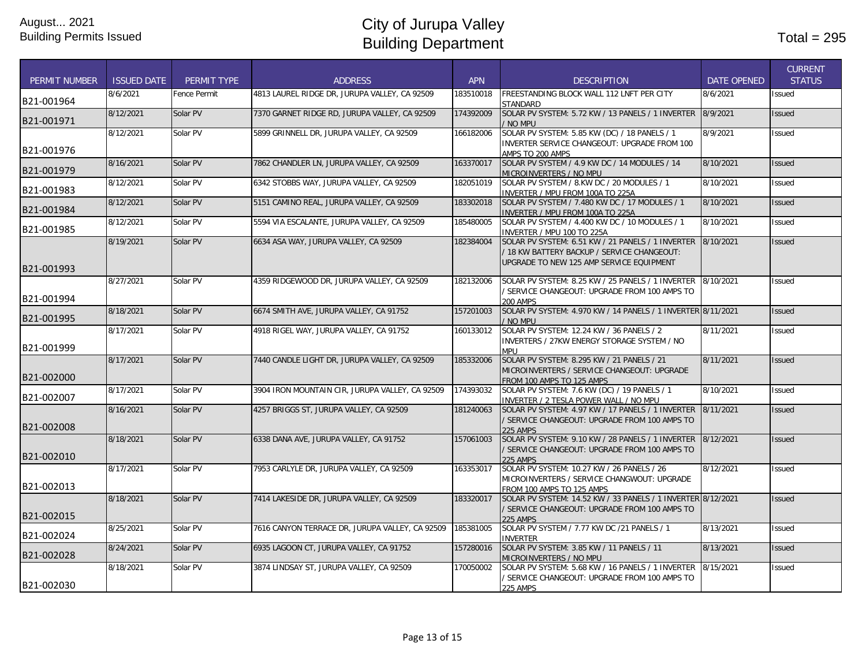| <b>PERMIT NUMBER</b> | <b>ISSUED DATE</b> | PERMIT TYPE  | <b>ADDRESS</b>                                  | <b>APN</b> | <b>DESCRIPTION</b>                                                                                                                           | <b>DATE OPENED</b> | <b>CURRENT</b><br><b>STATUS</b> |
|----------------------|--------------------|--------------|-------------------------------------------------|------------|----------------------------------------------------------------------------------------------------------------------------------------------|--------------------|---------------------------------|
| B21-001964           | 8/6/2021           | Fence Permit | 4813 LAUREL RIDGE DR. JURUPA VALLEY, CA 92509   | 183510018  | FREESTANDING BLOCK WALL 112 LNFT PER CITY<br>STANDARD                                                                                        | 8/6/2021           | <b>Issued</b>                   |
| B21-001971           | 8/12/2021          | Solar PV     | 7370 GARNET RIDGE RD, JURUPA VALLEY, CA 92509   | 174392009  | SOLAR PV SYSTEM: 5.72 KW / 13 PANELS / 1 INVERTER<br>/ NO MPU                                                                                | 8/9/2021           | <b>Issued</b>                   |
| B21-001976           | 8/12/2021          | Solar PV     | 5899 GRINNELL DR, JURUPA VALLEY, CA 92509       | 166182006  | SOLAR PV SYSTEM: 5.85 KW (DC) / 18 PANELS / 1<br>INVERTER SERVICE CHANGEOUT: UPGRADE FROM 100<br>AMPS TO 200 AMPS                            | 8/9/2021           | Issued                          |
| B21-001979           | 8/16/2021          | Solar PV     | 7862 CHANDLER LN, JURUPA VALLEY, CA 92509       | 163370017  | SOLAR PV SYSTEM / 4.9 KW DC / 14 MODULES / 14<br>MICROINVERTERS / NO MPU                                                                     | 8/10/2021          | <b>Issued</b>                   |
| B21-001983           | 8/12/2021          | Solar PV     | 6342 STOBBS WAY, JURUPA VALLEY, CA 92509        | 182051019  | SOLAR PV SYSTEM / 8.KW DC / 20 MODULES / 1<br>INVERTER / MPU FROM 100A TO 225A                                                               | 8/10/2021          | <b>Issued</b>                   |
| B21-001984           | 8/12/2021          | Solar PV     | 5151 CAMINO REAL, JURUPA VALLEY, CA 92509       | 183302018  | SOLAR PV SYSTEM / 7.480 KW DC / 17 MODULES / 1<br>INVERTER / MPU FROM 100A TO 225A                                                           | 8/10/2021          | <b>Issued</b>                   |
| B21-001985           | 8/12/2021          | Solar PV     | 5594 VIA ESCALANTE, JURUPA VALLEY, CA 92509     | 185480005  | SOLAR PV SYSTEM / 4.400 KW DC / 10 MODULES / 1<br>INVERTER / MPU 100 TO 225A                                                                 | 8/10/2021          | <b>Issued</b>                   |
| B21-001993           | 8/19/2021          | Solar PV     | 6634 ASA WAY, JURUPA VALLEY, CA 92509           | 182384004  | SOLAR PV SYSTEM: 6.51 KW / 21 PANELS / 1 INVERTER<br>/ 18 KW BATTERY BACKUP / SERVICE CHANGEOUT:<br>UPGRADE TO NEW 125 AMP SERVICE EQUIPMENT | 8/10/2021          | <b>Issued</b>                   |
| B21-001994           | 8/27/2021          | Solar PV     | 4359 RIDGEWOOD DR, JURUPA VALLEY, CA 92509      | 182132006  | SOLAR PV SYSTEM: 8.25 KW / 25 PANELS / 1 INVERTER<br>/ SERVICE CHANGEOUT: UPGRADE FROM 100 AMPS TO<br><b>200 AMPS</b>                        | 8/10/2021          | <b>Issued</b>                   |
| B21-001995           | 8/18/2021          | Solar PV     | 6674 SMITH AVE, JURUPA VALLEY, CA 91752         | 157201003  | SOLAR PV SYSTEM: 4.970 KW / 14 PANELS / 1 INVERTER 8/11/2021<br>/ NO MPU                                                                     |                    | <b>Issued</b>                   |
| B21-001999           | 8/17/2021          | Solar PV     | 4918 RIGEL WAY, JURUPA VALLEY, CA 91752         | 160133012  | SOLAR PV SYSTEM: 12.24 KW / 36 PANELS / 2<br>INVERTERS / 27KW ENERGY STORAGE SYSTEM / NO<br><b>HOM</b>                                       | 8/11/2021          | <b>Issued</b>                   |
| B21-002000           | 8/17/2021          | Solar PV     | 7440 CANDLE LIGHT DR, JURUPA VALLEY, CA 92509   | 185332006  | SOLAR PV SYSTEM: 8.295 KW / 21 PANELS / 21<br>MICROINVERTERS / SERVICE CHANGEOUT: UPGRADE<br>FROM 100 AMPS TO 125 AMPS                       | 8/11/2021          | <b>Issued</b>                   |
| B21-002007           | 8/17/2021          | Solar PV     | 3904 IRON MOUNTAIN CIR, JURUPA VALLEY, CA 92509 | 174393032  | SOLAR PV SYSTEM: 7.6 KW (DC) / 19 PANELS / 1<br>INVERTER / 2 TESLA POWER WALL / NO MPU                                                       | 8/10/2021          | <b>Issued</b>                   |
| B21-002008           | 8/16/2021          | Solar PV     | 4257 BRIGGS ST, JURUPA VALLEY, CA 92509         | 181240063  | SOLAR PV SYSTEM: 4.97 KW / 17 PANELS / 1 INVERTER<br>/ SERVICE CHANGEOUT: UPGRADE FROM 100 AMPS TO<br><b>225 AMPS</b>                        | 8/11/2021          | <b>Issued</b>                   |
| B21-002010           | 8/18/2021          | Solar PV     | 6338 DANA AVE, JURUPA VALLEY, CA 91752          | 157061003  | SOLAR PV SYSTEM: 9.10 KW / 28 PANELS / 1 INVERTER<br>/ SERVICE CHANGEOUT: UPGRADE FROM 100 AMPS TO<br><b>225 AMPS</b>                        | 8/12/2021          | <b>Issued</b>                   |
| B21-002013           | 8/17/2021          | Solar PV     | 7953 CARLYLE DR, JURUPA VALLEY, CA 92509        | 163353017  | SOLAR PV SYSTEM: 10.27 KW / 26 PANELS / 26<br>MICROINVERTERS / SERVICE CHANGWOUT: UPGRADE<br>FROM 100 AMPS TO 125 AMPS                       | 8/12/2021          | <b>Issued</b>                   |
| B21-002015           | 8/18/2021          | Solar PV     | 7414 LAKESIDE DR, JURUPA VALLEY, CA 92509       | 183320017  | SOLAR PV SYSTEM: 14.52 KW / 33 PANELS / 1 INVERTER 8/12/2021<br>SERVICE CHANGEOUT: UPGRADE FROM 100 AMPS TO<br><b>225 AMPS</b>               |                    | <b>Issued</b>                   |
| B21-002024           | 8/25/2021          | Solar PV     | 7616 CANYON TERRACE DR, JURUPA VALLEY, CA 92509 | 185381005  | SOLAR PV SYSTEM / 7.77 KW DC /21 PANELS / 1<br><b>INVERTER</b>                                                                               | 8/13/2021          | Issued                          |
| B21-002028           | 8/24/2021          | Solar PV     | 6935 LAGOON CT, JURUPA VALLEY, CA 91752         | 157280016  | SOLAR PV SYSTEM: 3.85 KW / 11 PANELS / 11<br>MICROINVERTERS / NO MPU                                                                         | 8/13/2021          | <b>Issued</b>                   |
| B21-002030           | 8/18/2021          | Solar PV     | 3874 LINDSAY ST, JURUPA VALLEY, CA 92509        | 170050002  | SOLAR PV SYSTEM: 5.68 KW / 16 PANELS / 1 INVERTER<br>/ SERVICE CHANGEOUT: UPGRADE FROM 100 AMPS TO<br>225 AMPS                               | 8/15/2021          | Issued                          |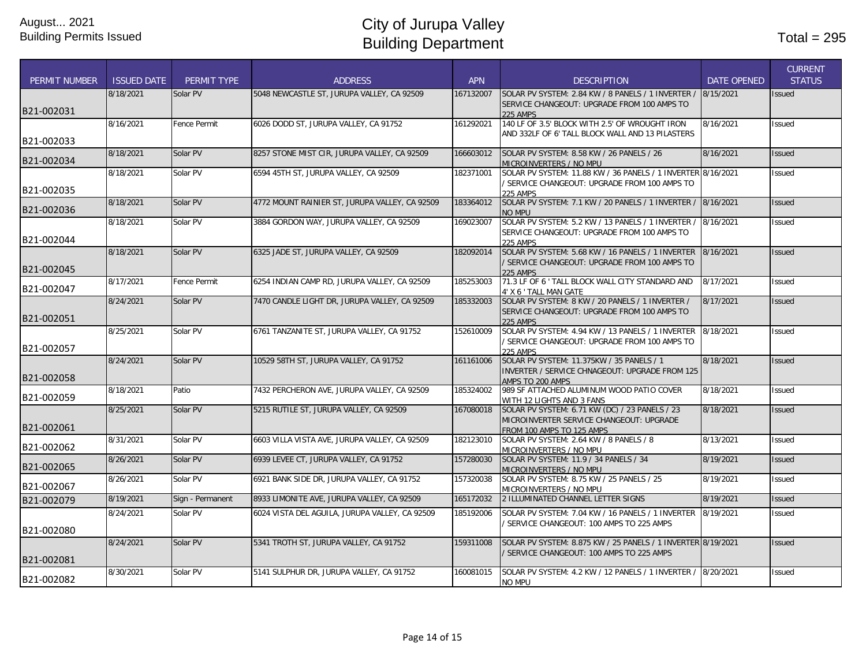|                      |                    |                     |                                                |            |                                                                                            |                    | <b>CURRENT</b> |
|----------------------|--------------------|---------------------|------------------------------------------------|------------|--------------------------------------------------------------------------------------------|--------------------|----------------|
| <b>PERMIT NUMBER</b> | <b>ISSUED DATE</b> | PERMIT TYPE         | <b>ADDRESS</b>                                 | <b>APN</b> | <b>DESCRIPTION</b>                                                                         | <b>DATE OPENED</b> | <b>STATUS</b>  |
|                      | 8/18/2021          | Solar PV            | 5048 NEWCASTLE ST, JURUPA VALLEY, CA 92509     | 167132007  | SOLAR PV SYSTEM: 2.84 KW / 8 PANELS / 1 INVERTER /                                         | 8/15/2021          | <b>Issued</b>  |
| B21-002031           |                    |                     |                                                |            | SERVICE CHANGEOUT: UPGRADE FROM 100 AMPS TO                                                |                    |                |
|                      | 8/16/2021          | <b>Fence Permit</b> | 6026 DODD ST, JURUPA VALLEY, CA 91752          | 161292021  | 225 AMPS<br>140 LF OF 3.5' BLOCK WITH 2.5' OF WROUGHT IRON                                 | 8/16/2021          | Issued         |
|                      |                    |                     |                                                |            | AND 332LF OF 6' TALL BLOCK WALL AND 13 PILASTERS                                           |                    |                |
| B21-002033           |                    |                     |                                                |            |                                                                                            |                    |                |
|                      | 8/18/2021          | Solar PV            | 8257 STONE MIST CIR, JURUPA VALLEY, CA 92509   | 166603012  | SOLAR PV SYSTEM: 8.58 KW / 26 PANELS / 26                                                  | 8/16/2021          | <b>Issued</b>  |
| B21-002034           |                    |                     |                                                |            | MICROINVERTERS / NO MPU                                                                    |                    |                |
|                      | 8/18/2021          | Solar PV            | 6594 45TH ST, JURUPA VALLEY, CA 92509          | 182371001  | SOLAR PV SYSTEM: 11.88 KW / 36 PANELS / 1 INVERTER 8/16/2021                               |                    | <b>Issued</b>  |
| B21-002035           |                    |                     |                                                |            | / SERVICE CHANGEOUT: UPGRADE FROM 100 AMPS TO<br><b>225 AMPS</b>                           |                    |                |
|                      | 8/18/2021          | Solar PV            | 4772 MOUNT RAINIER ST, JURUPA VALLEY, CA 92509 | 183364012  | SOLAR PV SYSTEM: 7.1 KW / 20 PANELS / 1 INVERTER /                                         | 8/16/2021          | <b>Issued</b>  |
| B21-002036           |                    |                     |                                                |            | <b>NO MPU</b>                                                                              |                    |                |
|                      | 8/18/2021          | Solar PV            | 3884 GORDON WAY, JURUPA VALLEY, CA 92509       | 169023007  | SOLAR PV SYSTEM: 5.2 KW / 13 PANELS / 1 INVERTER /                                         | 8/16/2021          | <b>Issued</b>  |
|                      |                    |                     |                                                |            | SERVICE CHANGEOUT: UPGRADE FROM 100 AMPS TO                                                |                    |                |
| B21-002044           |                    |                     |                                                |            | 225 AMPS                                                                                   |                    |                |
|                      | 8/18/2021          | Solar PV            | 6325 JADE ST, JURUPA VALLEY, CA 92509          | 182092014  | SOLAR PV SYSTEM: 5.68 KW / 16 PANELS / 1 INVERTER                                          | 8/16/2021          | <b>Issued</b>  |
| B21-002045           |                    |                     |                                                |            | / SERVICE CHANGEOUT: UPGRADE FROM 100 AMPS TO<br><b>225 AMPS</b>                           |                    |                |
|                      | 8/17/2021          | Fence Permit        | 6254 INDIAN CAMP RD, JURUPA VALLEY, CA 92509   | 185253003  | 71.3 LF OF 6 ' TALL BLOCK WALL CITY STANDARD AND                                           | 8/17/2021          | <b>Issued</b>  |
| B21-002047           |                    |                     |                                                |            | 4' X 6 ' TALL MAN GATE                                                                     |                    |                |
|                      | 8/24/2021          | Solar PV            | 7470 CANDLE LIGHT DR. JURUPA VALLEY, CA 92509  | 185332003  | SOLAR PV SYSTEM: 8 KW / 20 PANELS / 1 INVERTER /                                           | 8/17/2021          | <b>Issued</b>  |
|                      |                    |                     |                                                |            | SERVICE CHANGEOUT: UPGRADE FROM 100 AMPS TO                                                |                    |                |
| B21-002051           |                    |                     |                                                |            | <b>225 AMPS</b>                                                                            |                    |                |
|                      | 8/25/2021          | Solar PV            | 6761 TANZANITE ST, JURUPA VALLEY, CA 91752     | 152610009  | SOLAR PV SYSTEM: 4.94 KW / 13 PANELS / 1 INVERTER                                          | 8/18/2021          | Issued         |
| B21-002057           |                    |                     |                                                |            | / SERVICE CHANGEOUT: UPGRADE FROM 100 AMPS TO<br><b>225 AMPS</b>                           |                    |                |
|                      | 8/24/2021          | Solar PV            | 10529 58TH ST, JURUPA VALLEY, CA 91752         | 161161006  | SOLAR PV SYSTEM: 11.375KW / 35 PANELS / 1                                                  | 8/18/2021          | <b>Issued</b>  |
|                      |                    |                     |                                                |            | INVERTER / SERVICE CHNAGEOUT: UPGRADE FROM 125                                             |                    |                |
| B21-002058           |                    |                     |                                                |            | AMPS TO 200 AMPS                                                                           |                    |                |
| B21-002059           | 8/18/2021          | Patio               | 7432 PERCHERON AVE, JURUPA VALLEY, CA 92509    | 185324002  | 989 SF ATTACHED ALUMINUM WOOD PATIO COVER                                                  | 8/18/2021          | <b>Issued</b>  |
|                      |                    |                     |                                                |            | WITH 12 LIGHTS AND 3 FANS                                                                  |                    |                |
|                      | 8/25/2021          | Solar PV            | 5215 RUTILE ST, JURUPA VALLEY, CA 92509        | 167080018  | SOLAR PV SYSTEM: 6.71 KW (DC) / 23 PANELS / 23<br>MICROINVERTER SERVICE CHANGEOUT: UPGRADE | 8/18/2021          | <b>Issued</b>  |
| B21-002061           |                    |                     |                                                |            | FROM 100 AMPS TO 125 AMPS                                                                  |                    |                |
|                      | 8/31/2021          | Solar PV            | 6603 VILLA VISTA AVE, JURUPA VALLEY, CA 92509  | 182123010  | SOLAR PV SYSTEM: 2.64 KW / 8 PANELS / 8                                                    | 8/13/2021          | Issued         |
| B21-002062           |                    |                     |                                                |            | MICROINVERTERS / NO MPU                                                                    |                    |                |
| B21-002065           | 8/26/2021          | Solar PV            | 6939 LEVEE CT, JURUPA VALLEY, CA 91752         | 157280030  | SOLAR PV SYSTEM: 11.9 / 34 PANELS / 34                                                     | 8/19/2021          | <b>Issued</b>  |
|                      |                    |                     |                                                |            | MICROINVERTERS / NO MPU                                                                    |                    |                |
| B21-002067           | 8/26/2021          | Solar PV            | 6921 BANK SIDE DR, JURUPA VALLEY, CA 91752     | 157320038  | SOLAR PV SYSTEM: 8.75 KW / 25 PANELS / 25<br>MICROINVERTERS / NO MPU                       | 8/19/2021          | <b>Issued</b>  |
| B21-002079           | 8/19/2021          | Sign - Permanent    | 8933 LIMONITE AVE, JURUPA VALLEY, CA 92509     | 165172032  | 2 ILLUMINATED CHANNEL LETTER SIGNS                                                         | 8/19/2021          | <b>Issued</b>  |
|                      | 8/24/2021          | Solar PV            | 6024 VISTA DEL AGUILA, JURUPA VALLEY, CA 92509 | 185192006  | SOLAR PV SYSTEM: 7.04 KW / 16 PANELS / 1 INVERTER                                          | 8/19/2021          | Issued         |
|                      |                    |                     |                                                |            | SERVICE CHANGEOUT: 100 AMPS TO 225 AMPS                                                    |                    |                |
| B21-002080           |                    |                     |                                                |            |                                                                                            |                    |                |
|                      | 8/24/2021          | Solar PV            | 5341 TROTH ST, JURUPA VALLEY, CA 91752         | 159311008  | SOLAR PV SYSTEM: 8.875 KW / 25 PANELS / 1 INVERTER 8/19/2021                               |                    | <b>Issued</b>  |
|                      |                    |                     |                                                |            | / SERVICE CHANGEOUT: 100 AMPS TO 225 AMPS                                                  |                    |                |
| B21-002081           |                    |                     |                                                |            |                                                                                            |                    |                |
| B21-002082           | 8/30/2021          | Solar PV            | 5141 SULPHUR DR, JURUPA VALLEY, CA 91752       | 160081015  | SOLAR PV SYSTEM: 4.2 KW / 12 PANELS / 1 INVERTER / 8/20/2021                               |                    | Issued         |
|                      |                    |                     |                                                |            | NO MPU                                                                                     |                    |                |